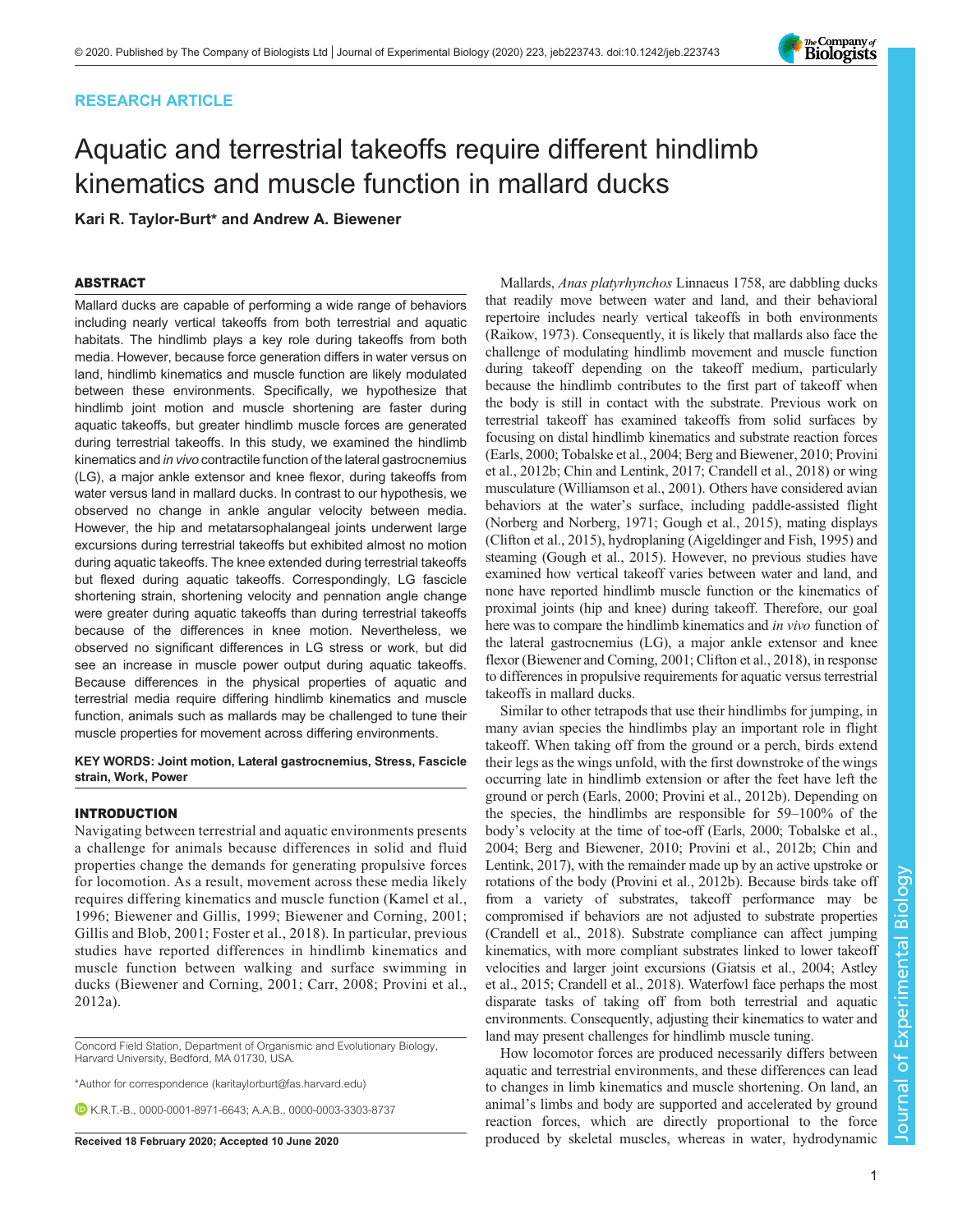# RESEARCH ARTICLE

# Aquatic and terrestrial takeoffs require different hindlimb kinematics and muscle function in mallard ducks

Kari R. Taylor-Burt\* and Andrew A. Biewener

## ABSTRACT

Mallard ducks are capable of performing a wide range of behaviors including nearly vertical takeoffs from both terrestrial and aquatic habitats. The hindlimb plays a key role during takeoffs from both media. However, because force generation differs in water versus on land, hindlimb kinematics and muscle function are likely modulated between these environments. Specifically, we hypothesize that hindlimb joint motion and muscle shortening are faster during aquatic takeoffs, but greater hindlimb muscle forces are generated during terrestrial takeoffs. In this study, we examined the hindlimb kinematics and in vivo contractile function of the lateral gastrocnemius (LG), a major ankle extensor and knee flexor, during takeoffs from water versus land in mallard ducks. In contrast to our hypothesis, we observed no change in ankle angular velocity between media. However, the hip and metatarsophalangeal joints underwent large excursions during terrestrial takeoffs but exhibited almost no motion during aquatic takeoffs. The knee extended during terrestrial takeoffs but flexed during aquatic takeoffs. Correspondingly, LG fascicle shortening strain, shortening velocity and pennation angle change were greater during aquatic takeoffs than during terrestrial takeoffs because of the differences in knee motion. Nevertheless, we observed no significant differences in LG stress or work, but did see an increase in muscle power output during aquatic takeoffs. Because differences in the physical properties of aquatic and terrestrial media require differing hindlimb kinematics and muscle function, animals such as mallards may be challenged to tune their muscle properties for movement across differing environments.

#### KEY WORDS: Joint motion, Lateral gastrocnemius, Stress, Fascicle strain, Work, Power

## INTRODUCTION

Navigating between terrestrial and aquatic environments presents a challenge for animals because differences in solid and fluid properties change the demands for generating propulsive forces for locomotion. As a result, movement across these media likely requires differing kinematics and muscle function ([Kamel et al.,](#page-12-0) [1996;](#page-12-0) [Biewener and Gillis, 1999; Biewener and Corning, 2001](#page-11-0); [Gillis and Blob, 2001; Foster et al.,](#page-12-0) 2018). In particular, previous studies have reported differences in hindlimb kinematics and muscle function between walking and surface swimming in ducks [\(Biewener and Corning, 2001; Carr, 2008](#page-11-0); [Provini et al.,](#page-12-0) [2012a](#page-12-0)).

Concord Field Station, Department of Organismic and Evolutionary Biology, Harvard University, Bedford, MA 01730, USA.

\*Author for correspondence [\(karitaylorburt@fas.harvard.edu](mailto:karitaylorburt@fas.harvard.edu))

K.R.T.-B., [0000-0001-8971-6643](http://orcid.org/0000-0001-8971-6643); A.A.B., [0000-0003-3303-8737](http://orcid.org/0000-0003-3303-8737)

Mallards, Anas platyrhynchos Linnaeus 1758, are dabbling ducks that readily move between water and land, and their behavioral repertoire includes nearly vertical takeoffs in both environments [\(Raikow, 1973\)](#page-12-0). Consequently, it is likely that mallards also face the challenge of modulating hindlimb movement and muscle function during takeoff depending on the takeoff medium, particularly because the hindlimb contributes to the first part of takeoff when the body is still in contact with the substrate. Previous work on terrestrial takeoff has examined takeoffs from solid surfaces by focusing on distal hindlimb kinematics and substrate reaction forces [\(Earls, 2000](#page-12-0); Tobalske et al., 2004; [Berg and Biewener, 2010;](#page-11-0) [Provini](#page-12-0) [et al., 2012b;](#page-12-0) Chin and Lentink, 2017; [Crandell et al., 2018](#page-12-0)) or wing musculature ([Williamson et al., 2001](#page-12-0)). Others have considered avian behaviors at the water's surface, including paddle-assisted flight [\(Norberg and Norberg, 1971](#page-12-0); [Gough et al., 2015](#page-12-0)), mating displays [\(Clifton et al., 2015\)](#page-11-0), hydroplaning [\(Aigeldinger and Fish, 1995](#page-11-0)) and steaming [\(Gough et al., 2015](#page-12-0)). However, no previous studies have examined how vertical takeoff varies between water and land, and none have reported hindlimb muscle function or the kinematics of proximal joints (hip and knee) during takeoff. Therefore, our goal here was to compare the hindlimb kinematics and in vivo function of the lateral gastrocnemius (LG), a major ankle extensor and knee flexor ([Biewener and Corning, 2001](#page-11-0); [Clifton et al., 2018\)](#page-12-0), in response to differences in propulsive requirements for aquatic versus terrestrial takeoffs in mallard ducks.

Similar to other tetrapods that use their hindlimbs for jumping, in many avian species the hindlimbs play an important role in flight takeoff. When taking off from the ground or a perch, birds extend their legs as the wings unfold, with the first downstroke of the wings occurring late in hindlimb extension or after the feet have left the ground or perch ([Earls, 2000; Provini et al., 2012b\)](#page-12-0). Depending on the species, the hindlimbs are responsible for 59–100% of the body's velocity at the time of toe-off ([Earls, 2000; Tobalske et al.,](#page-12-0) [2004;](#page-12-0) [Berg and Biewener, 2010](#page-11-0); [Provini et al., 2012b](#page-12-0); [Chin and](#page-11-0) [Lentink, 2017\)](#page-11-0), with the remainder made up by an active upstroke or rotations of the body ([Provini et al., 2012b](#page-12-0)). Because birds take off from a variety of substrates, takeoff performance may be compromised if behaviors are not adjusted to substrate properties [\(Crandell et al., 2018](#page-12-0)). Substrate compliance can affect jumping kinematics, with more compliant substrates linked to lower takeoff velocities and larger joint excursions [\(Giatsis et al., 2004;](#page-12-0) [Astley](#page-11-0) [et al., 2015;](#page-11-0) [Crandell et al., 2018](#page-12-0)). Waterfowl face perhaps the most disparate tasks of taking off from both terrestrial and aquatic environments. Consequently, adjusting their kinematics to water and land may present challenges for hindlimb muscle tuning.

How locomotor forces are produced necessarily differs between aquatic and terrestrial environments, and these differences can lead to changes in limb kinematics and muscle shortening. On land, an animal's limbs and body are supported and accelerated by ground reaction forces, which are directly proportional to the force Received 18 February 2020; Accepted 10 June 2020 produced by skeletal muscles, whereas in water, hydrodynamic

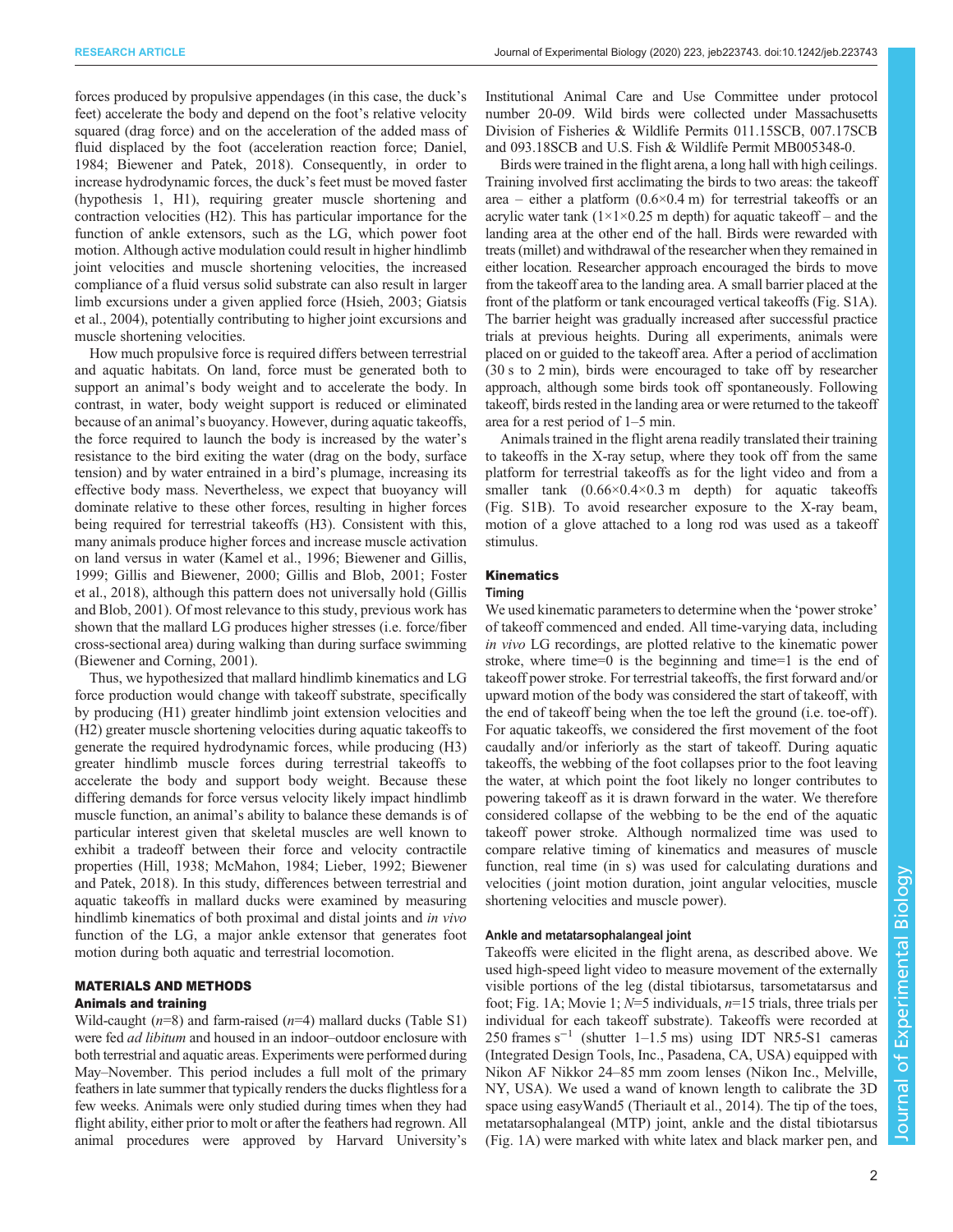forces produced by propulsive appendages (in this case, the duck's feet) accelerate the body and depend on the foot's relative velocity squared (drag force) and on the acceleration of the added mass of fluid displaced by the foot (acceleration reaction force; [Daniel,](#page-12-0) [1984](#page-12-0); [Biewener and Patek, 2018](#page-11-0)). Consequently, in order to increase hydrodynamic forces, the duck's feet must be moved faster (hypothesis 1, H1), requiring greater muscle shortening and contraction velocities (H2). This has particular importance for the function of ankle extensors, such as the LG, which power foot motion. Although active modulation could result in higher hindlimb joint velocities and muscle shortening velocities, the increased compliance of a fluid versus solid substrate can also result in larger limb excursions under a given applied force [\(Hsieh, 2003; Giatsis](#page-12-0) [et al., 2004\)](#page-12-0), potentially contributing to higher joint excursions and muscle shortening velocities.

How much propulsive force is required differs between terrestrial and aquatic habitats. On land, force must be generated both to support an animal's body weight and to accelerate the body. In contrast, in water, body weight support is reduced or eliminated because of an animal's buoyancy. However, during aquatic takeoffs, the force required to launch the body is increased by the water's resistance to the bird exiting the water (drag on the body, surface tension) and by water entrained in a bird's plumage, increasing its effective body mass. Nevertheless, we expect that buoyancy will dominate relative to these other forces, resulting in higher forces being required for terrestrial takeoffs (H3). Consistent with this, many animals produce higher forces and increase muscle activation on land versus in water [\(Kamel et al., 1996;](#page-12-0) [Biewener and Gillis,](#page-11-0) [1999](#page-11-0); [Gillis and Biewener, 2000](#page-12-0); [Gillis and Blob, 2001](#page-12-0); [Foster](#page-12-0) [et al., 2018](#page-12-0)), although this pattern does not universally hold [\(Gillis](#page-12-0) [and Blob, 2001](#page-12-0)). Of most relevance to this study, previous work has shown that the mallard LG produces higher stresses (i.e. force/fiber cross-sectional area) during walking than during surface swimming [\(Biewener and Corning, 2001](#page-11-0)).

Thus, we hypothesized that mallard hindlimb kinematics and LG force production would change with takeoff substrate, specifically by producing (H1) greater hindlimb joint extension velocities and (H2) greater muscle shortening velocities during aquatic takeoffs to generate the required hydrodynamic forces, while producing (H3) greater hindlimb muscle forces during terrestrial takeoffs to accelerate the body and support body weight. Because these differing demands for force versus velocity likely impact hindlimb muscle function, an animal's ability to balance these demands is of particular interest given that skeletal muscles are well known to exhibit a tradeoff between their force and velocity contractile properties [\(Hill, 1938; McMahon, 1984](#page-12-0); [Lieber, 1992](#page-12-0); [Biewener](#page-11-0) [and Patek, 2018](#page-11-0)). In this study, differences between terrestrial and aquatic takeoffs in mallard ducks were examined by measuring hindlimb kinematics of both proximal and distal joints and in vivo function of the LG, a major ankle extensor that generates foot motion during both aquatic and terrestrial locomotion.

## MATERIALS AND METHODS

# Animals and training

Wild-caught  $(n=8)$  and farm-raised  $(n=4)$  mallard ducks ([Table S1\)](https://jeb.biologists.org/lookup/doi/10.1242/jeb.223743.supplemental) were fed *ad libitum* and housed in an indoor–outdoor enclosure with both terrestrial and aquatic areas. Experiments were performed during May–November. This period includes a full molt of the primary feathers in late summer that typically renders the ducks flightless for a few weeks. Animals were only studied during times when they had flight ability, either prior to molt or after the feathers had regrown. All animal procedures were approved by Harvard University's

Institutional Animal Care and Use Committee under protocol number 20-09. Wild birds were collected under Massachusetts Division of Fisheries & Wildlife Permits 011.15SCB, 007.17SCB and 093.18SCB and U.S. Fish & Wildlife Permit MB005348-0.

Birds were trained in the flight arena, a long hall with high ceilings. Training involved first acclimating the birds to two areas: the takeoff area – either a platform  $(0.6 \times 0.4 \text{ m})$  for terrestrial takeoffs or an acrylic water tank  $(1 \times 1 \times 0.25 \text{ m}$  depth) for aquatic takeoff – and the landing area at the other end of the hall. Birds were rewarded with treats (millet) and withdrawal of the researcher when they remained in either location. Researcher approach encouraged the birds to move from the takeoff area to the landing area. A small barrier placed at the front of the platform or tank encouraged vertical takeoffs [\(Fig. S1A\)](https://jeb.biologists.org/lookup/doi/10.1242/jeb.223743.supplemental). The barrier height was gradually increased after successful practice trials at previous heights. During all experiments, animals were placed on or guided to the takeoff area. After a period of acclimation (30 s to 2 min), birds were encouraged to take off by researcher approach, although some birds took off spontaneously. Following takeoff, birds rested in the landing area or were returned to the takeoff area for a rest period of 1–5 min.

Animals trained in the flight arena readily translated their training to takeoffs in the X-ray setup, where they took off from the same platform for terrestrial takeoffs as for the light video and from a smaller tank  $(0.66 \times 0.4 \times 0.3 \text{ m}$  depth) for aquatic takeoffs [\(Fig. S1B\)](https://jeb.biologists.org/lookup/doi/10.1242/jeb.223743.supplemental). To avoid researcher exposure to the X-ray beam, motion of a glove attached to a long rod was used as a takeoff stimulus.

## **Kinematics**

## Timing

We used kinematic parameters to determine when the 'power stroke' of takeoff commenced and ended. All time-varying data, including in vivo LG recordings, are plotted relative to the kinematic power stroke, where time=0 is the beginning and time=1 is the end of takeoff power stroke. For terrestrial takeoffs, the first forward and/or upward motion of the body was considered the start of takeoff, with the end of takeoff being when the toe left the ground (i.e. toe-off ). For aquatic takeoffs, we considered the first movement of the foot caudally and/or inferiorly as the start of takeoff. During aquatic takeoffs, the webbing of the foot collapses prior to the foot leaving the water, at which point the foot likely no longer contributes to powering takeoff as it is drawn forward in the water. We therefore considered collapse of the webbing to be the end of the aquatic takeoff power stroke. Although normalized time was used to compare relative timing of kinematics and measures of muscle function, real time (in s) was used for calculating durations and velocities ( joint motion duration, joint angular velocities, muscle shortening velocities and muscle power).

## Ankle and metatarsophalangeal joint

Takeoffs were elicited in the flight arena, as described above. We used high-speed light video to measure movement of the externally visible portions of the leg (distal tibiotarsus, tarsometatarsus and foot; [Fig. 1A](#page-2-0); [Movie 1](http://movie.biologists.com/video/10.1242/jeb.223743/video-1);  $N=5$  individuals,  $n=15$  trials, three trials per individual for each takeoff substrate). Takeoffs were recorded at 250 frames s−<sup>1</sup> (shutter 1–1.5 ms) using IDT NR5-S1 cameras (Integrated Design Tools, Inc., Pasadena, CA, USA) equipped with Nikon AF Nikkor 24–85 mm zoom lenses (Nikon Inc., Melville, NY, USA). We used a wand of known length to calibrate the 3D space using easyWand5 ([Theriault et al., 2014](#page-12-0)). The tip of the toes, metatarsophalangeal (MTP) joint, ankle and the distal tibiotarsus [\(Fig. 1](#page-2-0)A) were marked with white latex and black marker pen, and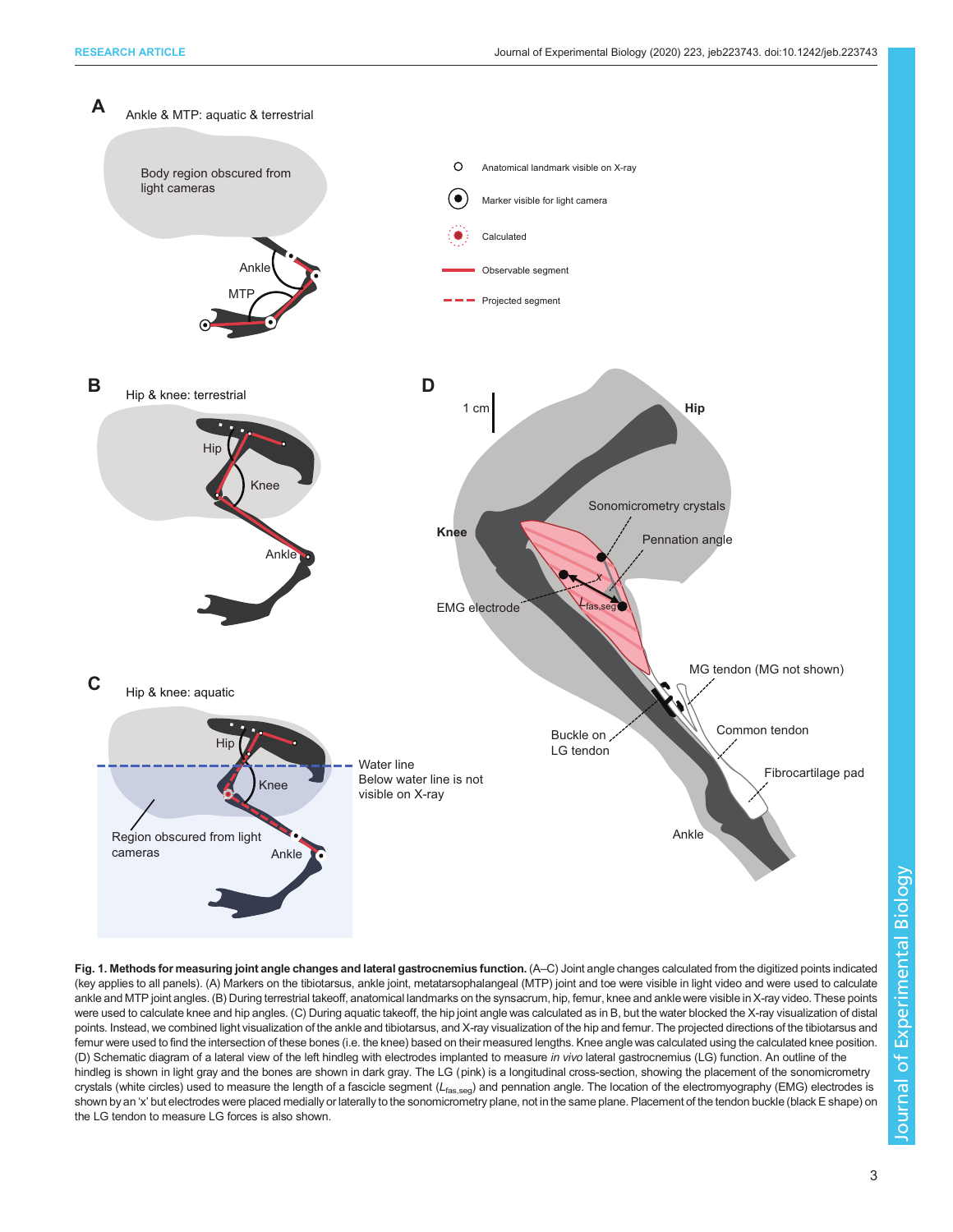<span id="page-2-0"></span>

Fig. 1. Methods for measuring joint angle changes and lateral gastrocnemius function. (A–C) Joint angle changes calculated from the digitized points indicated (key applies to all panels). (A) Markers on the tibiotarsus, ankle joint, metatarsophalangeal (MTP) joint and toe were visible in light video and were used to calculate ankle and MTP joint angles. (B) During terrestrial takeoff, anatomical landmarks on the synsacrum, hip, femur, knee and ankle were visible in X-ray video. These points were used to calculate knee and hip angles. (C) During aquatic takeoff, the hip joint angle was calculated as in B, but the water blocked the X-ray visualization of distal points. Instead, we combined light visualization of the ankle and tibiotarsus, and X-ray visualization of the hip and femur. The projected directions of the tibiotarsus and femur were used to find the intersection of these bones (i.e. the knee) based on their measured lengths. Knee angle was calculated using the calculated knee position. (D) Schematic diagram of a lateral view of the left hindleg with electrodes implanted to measure in vivo lateral gastrocnemius (LG) function. An outline of the hindleg is shown in light gray and the bones are shown in dark gray. The LG (pink) is a longitudinal cross-section, showing the placement of the sonomicrometry crystals (white circles) used to measure the length of a fascicle segment (Lfas,seg) and pennation angle. The location of the electromyography (EMG) electrodes is shown by an 'x' but electrodes were placed medially or laterally to the sonomicrometry plane, not in the same plane. Placement of the tendon buckle (black E shape) on the LG tendon to measure LG forces is also shown.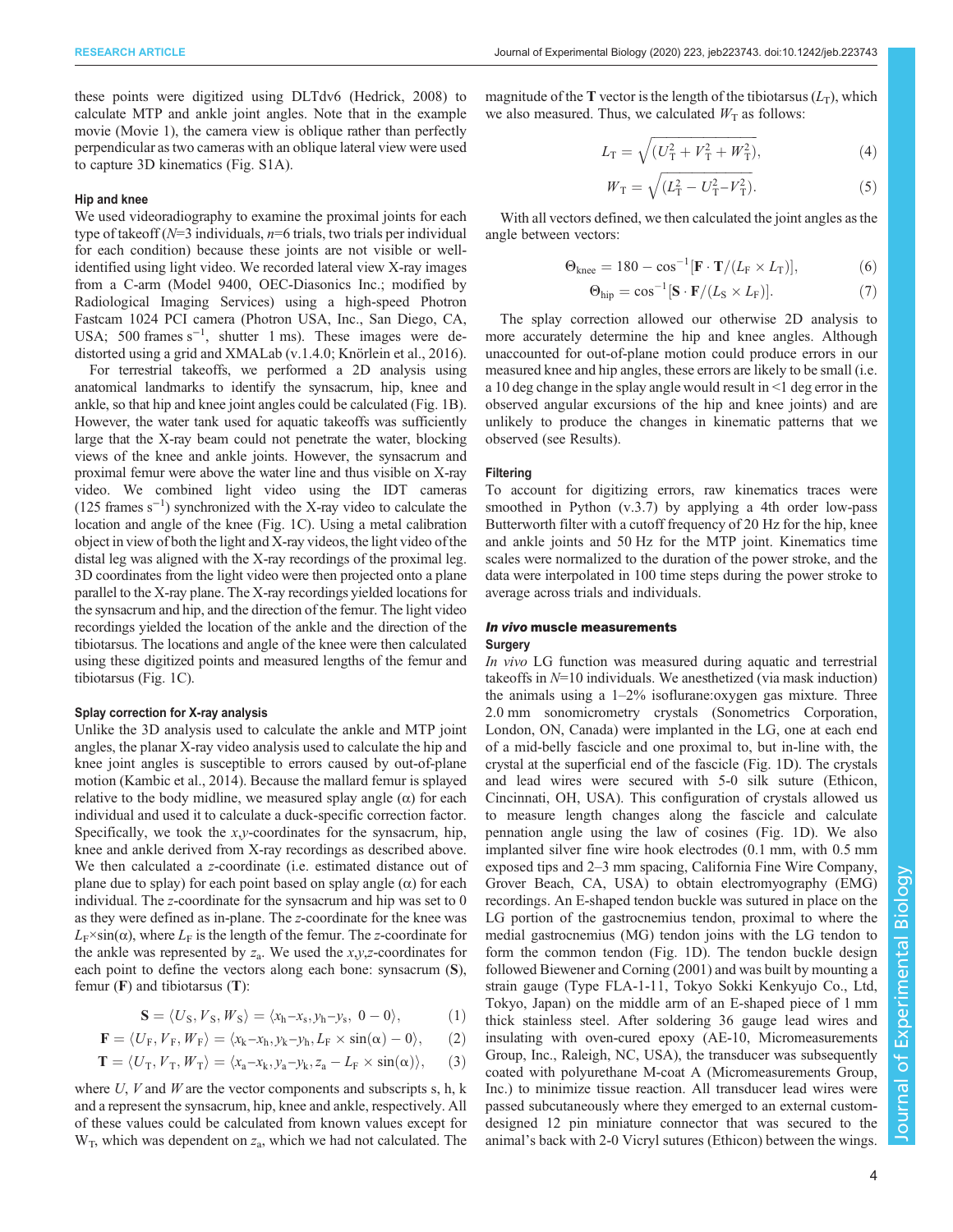these points were digitized using DLTdv6 ([Hedrick, 2008](#page-12-0)) to calculate MTP and ankle joint angles. Note that in the example movie [\(Movie 1](http://movie.biologists.com/video/10.1242/jeb.223743/video-1)), the camera view is oblique rather than perfectly perpendicular as two cameras with an oblique lateral view were used to capture 3D kinematics ([Fig. S1A](https://jeb.biologists.org/lookup/doi/10.1242/jeb.223743.supplemental)).

#### Hip and knee

We used videoradiography to examine the proximal joints for each type of takeoff ( $N=3$  individuals,  $n=6$  trials, two trials per individual for each condition) because these joints are not visible or wellidentified using light video. We recorded lateral view X-ray images from a C-arm (Model 9400, OEC-Diasonics Inc.; modified by Radiological Imaging Services) using a high-speed Photron Fastcam 1024 PCI camera (Photron USA, Inc., San Diego, CA, USA; 500 frames s<sup>-1</sup>, shutter 1 ms). These images were dedistorted using a grid and XMALab (v.1.4.0; [Knörlein et al., 2016\)](#page-12-0).

For terrestrial takeoffs, we performed a 2D analysis using anatomical landmarks to identify the synsacrum, hip, knee and ankle, so that hip and knee joint angles could be calculated [\(Fig. 1](#page-2-0)B). However, the water tank used for aquatic takeoffs was sufficiently large that the X-ray beam could not penetrate the water, blocking views of the knee and ankle joints. However, the synsacrum and proximal femur were above the water line and thus visible on X-ray video. We combined light video using the IDT cameras (125 frames s−<sup>1</sup> ) synchronized with the X-ray video to calculate the location and angle of the knee [\(Fig. 1C](#page-2-0)). Using a metal calibration object in view of both the light and X-ray videos, the light video of the distal leg was aligned with the X-ray recordings of the proximal leg. 3D coordinates from the light video were then projected onto a plane parallel to the X-ray plane. The X-ray recordings yielded locations for the synsacrum and hip, and the direction of the femur. The light video recordings yielded the location of the ankle and the direction of the tibiotarsus. The locations and angle of the knee were then calculated using these digitized points and measured lengths of the femur and tibiotarsus ([Fig. 1C](#page-2-0)).

#### Splay correction for X-ray analysis

Unlike the 3D analysis used to calculate the ankle and MTP joint angles, the planar X-ray video analysis used to calculate the hip and knee joint angles is susceptible to errors caused by out-of-plane motion ([Kambic et al., 2014](#page-12-0)). Because the mallard femur is splayed relative to the body midline, we measured splay angle  $(\alpha)$  for each individual and used it to calculate a duck-specific correction factor. Specifically, we took the  $x,y$ -coordinates for the synsacrum, hip, knee and ankle derived from X-ray recordings as described above. We then calculated a z-coordinate (i.e. estimated distance out of plane due to splay) for each point based on splay angle  $(\alpha)$  for each individual. The z-coordinate for the synsacrum and hip was set to 0 as they were defined as in-plane. The z-coordinate for the knee was  $L_F \times \sin(\alpha)$ , where  $L_F$  is the length of the femur. The z-coordinate for the ankle was represented by  $z_a$ . We used the  $x, y, z$ -coordinates for each point to define the vectors along each bone: synsacrum (S), femur  $(F)$  and tibiotarsus  $(T)$ :

$$
\mathbf{S}=\langle U_S,V_S,W_S\rangle=\langle x_h{-}x_s,y_h{-}y_s,\;0-0\rangle,\qquad \qquad (1)
$$

$$
\mathbf{F}=\langle U_{\text{F}},V_{\text{F}},W_{\text{F}}\rangle=\langle x_k{-}x_h,y_k{-}y_h,L_{\text{F}}\times\sin(\alpha)-0\rangle,\quad \ \ (2)
$$

$$
\mathbf{T} = \langle U_{\mathrm{T}}, V_{\mathrm{T}}, W_{\mathrm{T}} \rangle = \langle x_{\mathrm{a}} - x_{\mathrm{k}}, y_{\mathrm{a}} - y_{\mathrm{k}}, z_{\mathrm{a}} - L_{\mathrm{F}} \times \sin(\alpha) \rangle, \quad (3)
$$

where  $U$ ,  $V$  and  $W$  are the vector components and subscripts s, h,  $k$ and a represent the synsacrum, hip, knee and ankle, respectively. All of these values could be calculated from known values except for  $W_T$ , which was dependent on  $z_a$ , which we had not calculated. The

magnitude of the T vector is the length of the tibiotarsus  $(L_T)$ , which we also measured. Thus, we calculated  $W_T$  as follows:

$$
L_{\rm T} = \sqrt{(U_{\rm T}^2 + V_{\rm T}^2 + W_{\rm T}^2)},\tag{4}
$$

$$
W_{\rm T} = \sqrt{(L_{\rm T}^2 - U_{\rm T}^2 - V_{\rm T}^2)}.
$$
\n(5)

With all vectors defined, we then calculated the joint angles as the angle between vectors:

$$
\Theta_{\text{knee}} = 180 - \cos^{-1} [\mathbf{F} \cdot \mathbf{T} / (L_{\text{F}} \times L_{\text{T}})],\tag{6}
$$

$$
\Theta_{\text{hip}} = \cos^{-1} [\mathbf{S} \cdot \mathbf{F} / (L_{\text{S}} \times L_{\text{F}})]. \tag{7}
$$

The splay correction allowed our otherwise 2D analysis to more accurately determine the hip and knee angles. Although unaccounted for out-of-plane motion could produce errors in our measured knee and hip angles, these errors are likely to be small (i.e. a 10 deg change in the splay angle would result in <1 deg error in the observed angular excursions of the hip and knee joints) and are unlikely to produce the changes in kinematic patterns that we observed (see Results).

#### Filtering

To account for digitizing errors, raw kinematics traces were smoothed in Python (v.3.7) by applying a 4th order low-pass Butterworth filter with a cutoff frequency of 20 Hz for the hip, knee and ankle joints and 50 Hz for the MTP joint. Kinematics time scales were normalized to the duration of the power stroke, and the data were interpolated in 100 time steps during the power stroke to average across trials and individuals.

## In vivo muscle measurements **Surgery**

In vivo LG function was measured during aquatic and terrestrial takeoffs in  $N=10$  individuals. We anesthetized (via mask induction) the animals using a 1–2% isoflurane:oxygen gas mixture. Three 2.0 mm sonomicrometry crystals (Sonometrics Corporation, London, ON, Canada) were implanted in the LG, one at each end of a mid-belly fascicle and one proximal to, but in-line with, the crystal at the superficial end of the fascicle ([Fig. 1](#page-2-0)D). The crystals and lead wires were secured with 5-0 silk suture (Ethicon, Cincinnati, OH, USA). This configuration of crystals allowed us to measure length changes along the fascicle and calculate pennation angle using the law of cosines ([Fig. 1D](#page-2-0)). We also implanted silver fine wire hook electrodes (0.1 mm, with 0.5 mm exposed tips and 2–3 mm spacing, California Fine Wire Company, Grover Beach, CA, USA) to obtain electromyography (EMG) recordings. An E-shaped tendon buckle was sutured in place on the LG portion of the gastrocnemius tendon, proximal to where the medial gastrocnemius (MG) tendon joins with the LG tendon to form the common tendon ([Fig. 1D](#page-2-0)). The tendon buckle design followed [Biewener and Corning \(2001\)](#page-11-0) and was built by mounting a strain gauge (Type FLA-1-11, Tokyo Sokki Kenkyujo Co., Ltd, Tokyo, Japan) on the middle arm of an E-shaped piece of 1 mm thick stainless steel. After soldering 36 gauge lead wires and insulating with oven-cured epoxy (AE-10, Micromeasurements Group, Inc., Raleigh, NC, USA), the transducer was subsequently coated with polyurethane M-coat A (Micromeasurements Group, Inc.) to minimize tissue reaction. All transducer lead wires were passed subcutaneously where they emerged to an external customdesigned 12 pin miniature connector that was secured to the animal's back with 2-0 Vicryl sutures (Ethicon) between the wings.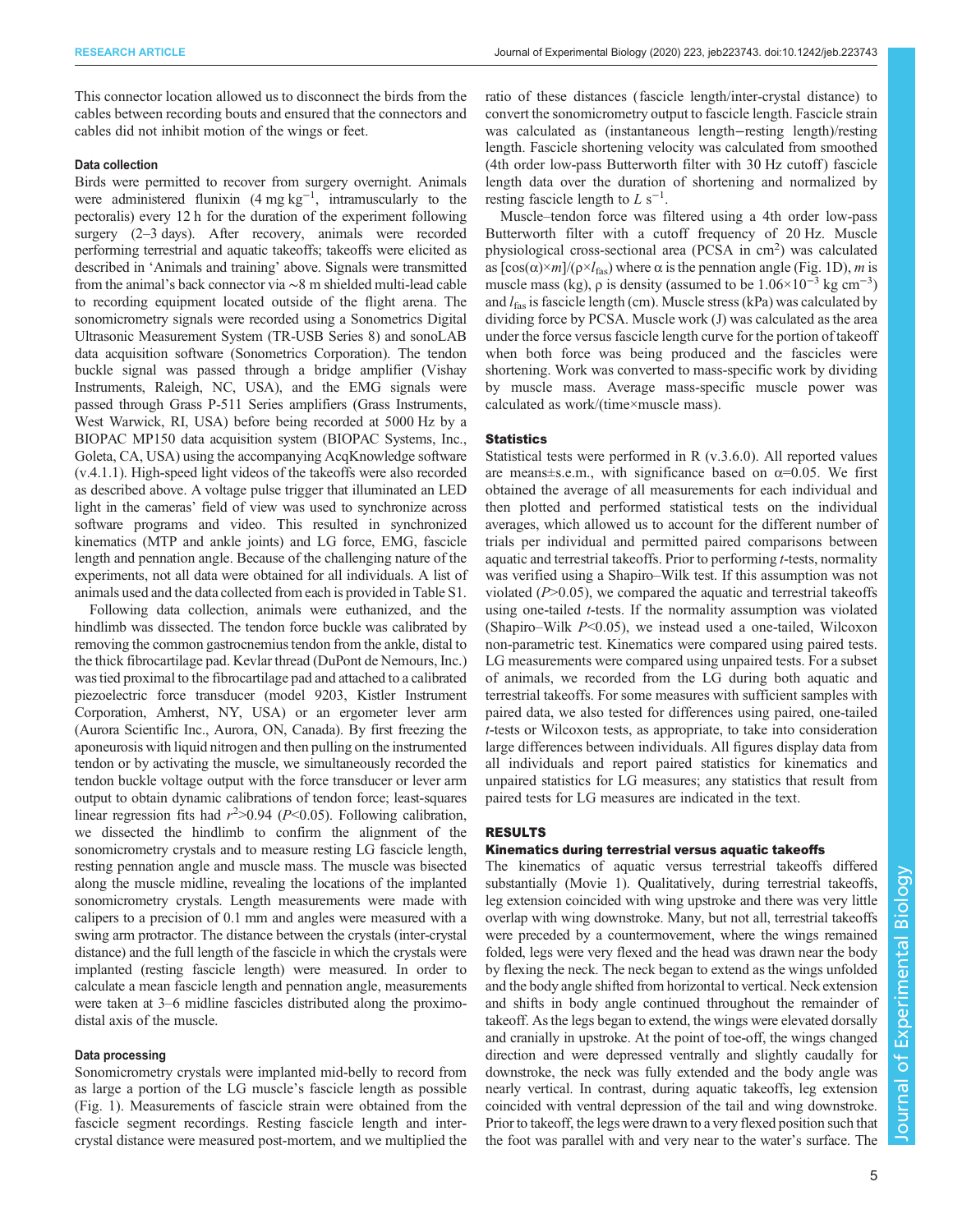This connector location allowed us to disconnect the birds from the cables between recording bouts and ensured that the connectors and cables did not inhibit motion of the wings or feet.

#### Data collection

Birds were permitted to recover from surgery overnight. Animals were administered flunixin  $(4 \text{ mg kg}^{-1})$ , intramuscularly to the pectoralis) every 12 h for the duration of the experiment following surgery (2–3 days). After recovery, animals were recorded performing terrestrial and aquatic takeoffs; takeoffs were elicited as described in 'Animals and training' above. Signals were transmitted from the animal's back connector via ∼8 m shielded multi-lead cable to recording equipment located outside of the flight arena. The sonomicrometry signals were recorded using a Sonometrics Digital Ultrasonic Measurement System (TR-USB Series 8) and sonoLAB data acquisition software (Sonometrics Corporation). The tendon buckle signal was passed through a bridge amplifier (Vishay Instruments, Raleigh, NC, USA), and the EMG signals were passed through Grass P-511 Series amplifiers (Grass Instruments, West Warwick, RI, USA) before being recorded at 5000 Hz by a BIOPAC MP150 data acquisition system (BIOPAC Systems, Inc., Goleta, CA, USA) using the accompanying AcqKnowledge software (v.4.1.1). High-speed light videos of the takeoffs were also recorded as described above. A voltage pulse trigger that illuminated an LED light in the cameras' field of view was used to synchronize across software programs and video. This resulted in synchronized kinematics (MTP and ankle joints) and LG force, EMG, fascicle length and pennation angle. Because of the challenging nature of the experiments, not all data were obtained for all individuals. A list of animals used and the data collected from each is provided in [Table S1.](https://jeb.biologists.org/lookup/doi/10.1242/jeb.223743.supplemental)

Following data collection, animals were euthanized, and the hindlimb was dissected. The tendon force buckle was calibrated by removing the common gastrocnemius tendon from the ankle, distal to the thick fibrocartilage pad. Kevlar thread (DuPont de Nemours, Inc.) was tied proximal to the fibrocartilage pad and attached to a calibrated piezoelectric force transducer (model 9203, Kistler Instrument Corporation, Amherst, NY, USA) or an ergometer lever arm (Aurora Scientific Inc., Aurora, ON, Canada). By first freezing the aponeurosis with liquid nitrogen and then pulling on the instrumented tendon or by activating the muscle, we simultaneously recorded the tendon buckle voltage output with the force transducer or lever arm output to obtain dynamic calibrations of tendon force; least-squares linear regression fits had  $r^2 > 0.94$  ( $P < 0.05$ ). Following calibration, we dissected the hindlimb to confirm the alignment of the sonomicrometry crystals and to measure resting LG fascicle length, resting pennation angle and muscle mass. The muscle was bisected along the muscle midline, revealing the locations of the implanted sonomicrometry crystals. Length measurements were made with calipers to a precision of 0.1 mm and angles were measured with a swing arm protractor. The distance between the crystals (inter-crystal distance) and the full length of the fascicle in which the crystals were implanted (resting fascicle length) were measured. In order to calculate a mean fascicle length and pennation angle, measurements were taken at 3–6 midline fascicles distributed along the proximodistal axis of the muscle.

#### Data processing

Sonomicrometry crystals were implanted mid-belly to record from as large a portion of the LG muscle's fascicle length as possible [\(Fig. 1](#page-2-0)). Measurements of fascicle strain were obtained from the fascicle segment recordings. Resting fascicle length and intercrystal distance were measured post-mortem, and we multiplied the

ratio of these distances (fascicle length/inter-crystal distance) to convert the sonomicrometry output to fascicle length. Fascicle strain was calculated as (instantaneous length−resting length)/resting length. Fascicle shortening velocity was calculated from smoothed (4th order low-pass Butterworth filter with 30 Hz cutoff) fascicle length data over the duration of shortening and normalized by resting fascicle length to  $L s^{-1}$ .

Muscle–tendon force was filtered using a 4th order low-pass Butterworth filter with a cutoff frequency of 20 Hz. Muscle physiological cross-sectional area (PCSA in cm<sup>2</sup>) was calculated as  $[\cos(\alpha) \times m]/(\rho \times l_{\text{fas}})$  where  $\alpha$  is the pennation angle [\(Fig. 1D](#page-2-0)), *m* is muscle mass (kg),  $\rho$  is density (assumed to be  $1.06 \times 10^{-3}$  kg cm<sup>-3</sup>) and  $l_{\text{fas}}$  is fascicle length (cm). Muscle stress (kPa) was calculated by dividing force by PCSA. Muscle work (J) was calculated as the area under the force versus fascicle length curve for the portion of takeoff when both force was being produced and the fascicles were shortening. Work was converted to mass-specific work by dividing by muscle mass. Average mass-specific muscle power was calculated as work/(time×muscle mass).

#### **Statistics**

Statistical tests were performed in R (v.3.6.0). All reported values are means±s.e.m., with significance based on  $\alpha$ =0.05. We first obtained the average of all measurements for each individual and then plotted and performed statistical tests on the individual averages, which allowed us to account for the different number of trials per individual and permitted paired comparisons between aquatic and terrestrial takeoffs. Prior to performing t-tests, normality was verified using a Shapiro–Wilk test. If this assumption was not violated  $(P>0.05)$ , we compared the aquatic and terrestrial takeoffs using one-tailed *t*-tests. If the normality assumption was violated (Shapiro–Wilk  $P<0.05$ ), we instead used a one-tailed, Wilcoxon non-parametric test. Kinematics were compared using paired tests. LG measurements were compared using unpaired tests. For a subset of animals, we recorded from the LG during both aquatic and terrestrial takeoffs. For some measures with sufficient samples with paired data, we also tested for differences using paired, one-tailed t-tests or Wilcoxon tests, as appropriate, to take into consideration large differences between individuals. All figures display data from all individuals and report paired statistics for kinematics and unpaired statistics for LG measures; any statistics that result from paired tests for LG measures are indicated in the text.

## RESULTS

## Kinematics during terrestrial versus aquatic takeoffs

The kinematics of aquatic versus terrestrial takeoffs differed substantially [\(Movie 1\)](http://movie.biologists.com/video/10.1242/jeb.223743/video-1). Qualitatively, during terrestrial takeoffs, leg extension coincided with wing upstroke and there was very little overlap with wing downstroke. Many, but not all, terrestrial takeoffs were preceded by a countermovement, where the wings remained folded, legs were very flexed and the head was drawn near the body by flexing the neck. The neck began to extend as the wings unfolded and the body angle shifted from horizontal to vertical. Neck extension and shifts in body angle continued throughout the remainder of takeoff. As the legs began to extend, the wings were elevated dorsally and cranially in upstroke. At the point of toe-off, the wings changed direction and were depressed ventrally and slightly caudally for downstroke, the neck was fully extended and the body angle was nearly vertical. In contrast, during aquatic takeoffs, leg extension coincided with ventral depression of the tail and wing downstroke. Prior to takeoff, the legs were drawn to a very flexed position such that the foot was parallel with and very near to the water's surface. The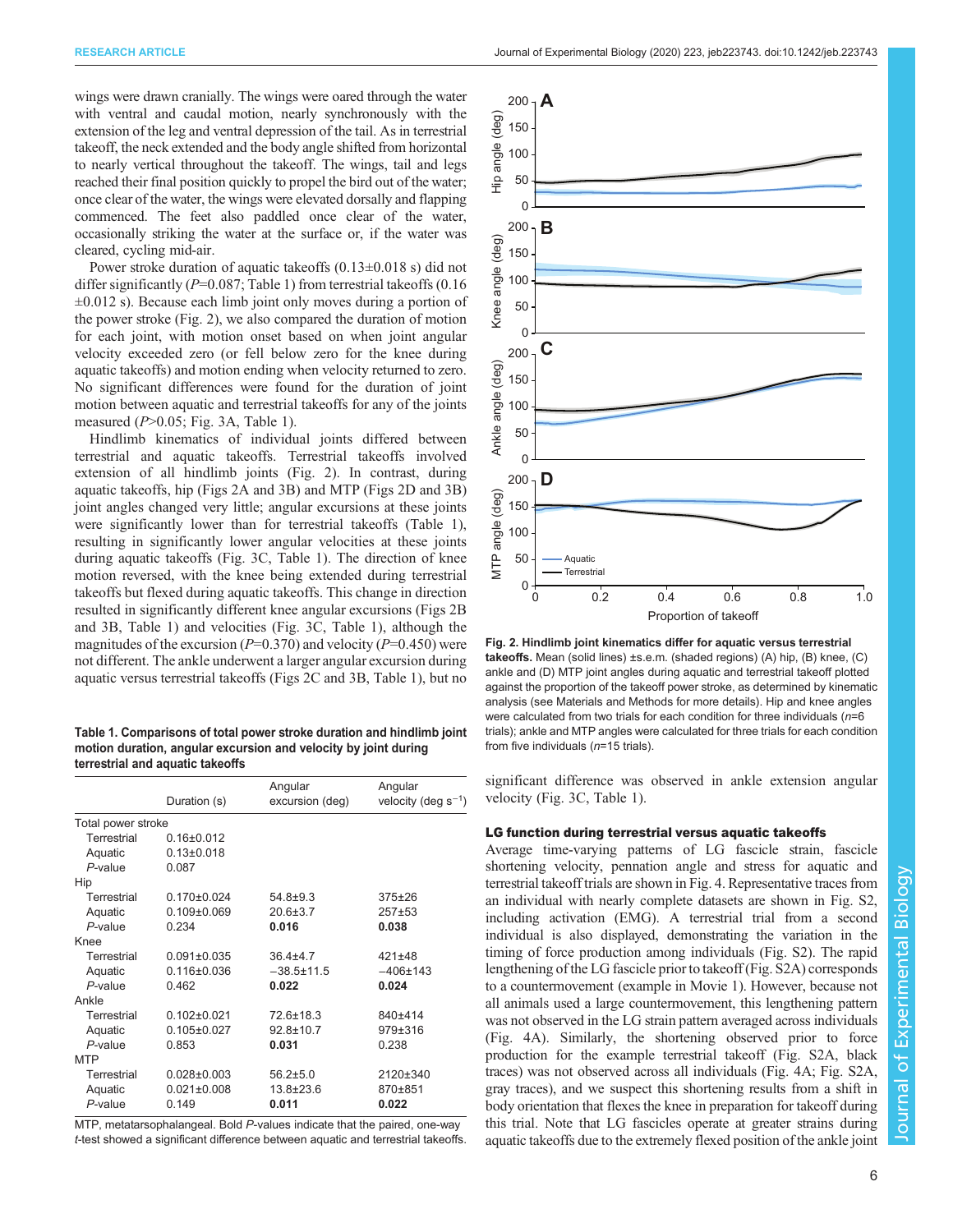<span id="page-5-0"></span>wings were drawn cranially. The wings were oared through the water with ventral and caudal motion, nearly synchronously with the extension of the leg and ventral depression of the tail. As in terrestrial takeoff, the neck extended and the body angle shifted from horizontal to nearly vertical throughout the takeoff. The wings, tail and legs reached their final position quickly to propel the bird out of the water; once clear of the water, the wings were elevated dorsally and flapping commenced. The feet also paddled once clear of the water, occasionally striking the water at the surface or, if the water was cleared, cycling mid-air.

Power stroke duration of aquatic takeoffs (0.13±0.018 s) did not differ significantly ( $P=0.087$ ; Table 1) from terrestrial takeoffs (0.16 ±0.012 s). Because each limb joint only moves during a portion of the power stroke (Fig. 2), we also compared the duration of motion for each joint, with motion onset based on when joint angular velocity exceeded zero (or fell below zero for the knee during aquatic takeoffs) and motion ending when velocity returned to zero. No significant differences were found for the duration of joint motion between aquatic and terrestrial takeoffs for any of the joints measured  $(P>0.05$ ; [Fig. 3A](#page-6-0), Table 1).

Hindlimb kinematics of individual joints differed between terrestrial and aquatic takeoffs. Terrestrial takeoffs involved extension of all hindlimb joints (Fig. 2). In contrast, during aquatic takeoffs, hip (Figs 2A and [3B](#page-6-0)) and MTP (Figs 2D and [3B](#page-6-0)) joint angles changed very little; angular excursions at these joints were significantly lower than for terrestrial takeoffs (Table 1), resulting in significantly lower angular velocities at these joints during aquatic takeoffs ([Fig. 3C](#page-6-0), Table 1). The direction of knee motion reversed, with the knee being extended during terrestrial takeoffs but flexed during aquatic takeoffs. This change in direction resulted in significantly different knee angular excursions (Figs 2B and [3B](#page-6-0), Table 1) and velocities ([Fig. 3](#page-6-0)C, Table 1), although the magnitudes of the excursion ( $P=0.370$ ) and velocity ( $P=0.450$ ) were not different. The ankle underwent a larger angular excursion during aquatic versus terrestrial takeoffs (Figs 2C and [3](#page-6-0)B, Table 1), but no

Table 1. Comparisons of total power stroke duration and hindlimb joint motion duration, angular excursion and velocity by joint during terrestrial and aquatic takeoffs

|                    |                   | Angular          | Angular                  |
|--------------------|-------------------|------------------|--------------------------|
|                    | Duration (s)      | excursion (deg)  | velocity (deg $s^{-1}$ ) |
| Total power stroke |                   |                  |                          |
| Terrestrial        | $0.16 \pm 0.012$  |                  |                          |
| Aquatic            | $0.13 \pm 0.018$  |                  |                          |
| $P$ -value         | 0.087             |                  |                          |
| Hip                |                   |                  |                          |
| Terrestrial        | $0.170 \pm 0.024$ | $54.8 + 9.3$     | $375 + 26$               |
| Aquatic            | $0.109 \pm 0.069$ | $20.6 \pm 3.7$   | $257 + 53$               |
| $P$ -value         | 0.234             | 0.016            | 0.038                    |
| Knee               |                   |                  |                          |
| Terrestrial        | $0.091 \pm 0.035$ | $36.4 + 4.7$     | $421 \pm 48$             |
| Aquatic            | $0.116 \pm 0.036$ | $-38.5 \pm 11.5$ | $-406 \pm 143$           |
| $P$ -value         | 0.462             | 0.022            | 0.024                    |
| Ankle              |                   |                  |                          |
| Terrestrial        | $0.102 \pm 0.021$ | $72.6 \pm 18.3$  | 840±414                  |
| Aquatic            | $0.105 \pm 0.027$ | $92.8 \pm 10.7$  | 979±316                  |
| $P$ -value         | 0.853             | 0.031            | 0.238                    |
| <b>MTP</b>         |                   |                  |                          |
| Terrestrial        | $0.028 + 0.003$   | $56.2 \pm 5.0$   | 2120±340                 |
| Aquatic            | $0.021 \pm 0.008$ | 13.8±23.6        | 870±851                  |
| P-value            | 0.149             | 0.011            | 0.022                    |
|                    |                   |                  |                          |

MTP, metatarsophalangeal. Bold P-values indicate that the paired, one-way t-test showed a significant difference between aquatic and terrestrial takeoffs.



Fig. 2. Hindlimb joint kinematics differ for aquatic versus terrestrial takeoffs. Mean (solid lines) ±s.e.m. (shaded regions) (A) hip, (B) knee, (C) ankle and (D) MTP joint angles during aquatic and terrestrial takeoff plotted against the proportion of the takeoff power stroke, as determined by kinematic analysis (see Materials and Methods for more details). Hip and knee angles were calculated from two trials for each condition for three individuals  $(n=6)$ trials); ankle and MTP angles were calculated for three trials for each condition from five individuals  $(n=15 \text{ trials}).$ 

significant difference was observed in ankle extension angular velocity ([Fig. 3](#page-6-0)C, Table 1).

#### LG function during terrestrial versus aquatic takeoffs

Average time-varying patterns of LG fascicle strain, fascicle shortening velocity, pennation angle and stress for aquatic and terrestrial takeoff trials are shown in [Fig. 4](#page-7-0). Representative traces from an individual with nearly complete datasets are shown in [Fig. S2,](https://jeb.biologists.org/lookup/doi/10.1242/jeb.223743.supplemental) including activation (EMG). A terrestrial trial from a second individual is also displayed, demonstrating the variation in the timing of force production among individuals [\(Fig. S2\)](https://jeb.biologists.org/lookup/doi/10.1242/jeb.223743.supplemental). The rapid lengthening of the LG fascicle prior to takeoff [\(Fig. S2A\)](https://jeb.biologists.org/lookup/doi/10.1242/jeb.223743.supplemental) corresponds to a countermovement (example in [Movie 1\)](http://movie.biologists.com/video/10.1242/jeb.223743/video-1). However, because not all animals used a large countermovement, this lengthening pattern was not observed in the LG strain pattern averaged across individuals [\(Fig. 4](#page-7-0)A). Similarly, the shortening observed prior to force production for the example terrestrial takeoff [\(Fig. S2A](https://jeb.biologists.org/lookup/doi/10.1242/jeb.223743.supplemental), black traces) was not observed across all individuals [\(Fig. 4A](#page-7-0); [Fig. S2A,](https://jeb.biologists.org/lookup/doi/10.1242/jeb.223743.supplemental) gray traces), and we suspect this shortening results from a shift in body orientation that flexes the knee in preparation for takeoff during this trial. Note that LG fascicles operate at greater strains during aquatic takeoffs due to the extremely flexed position of the ankle joint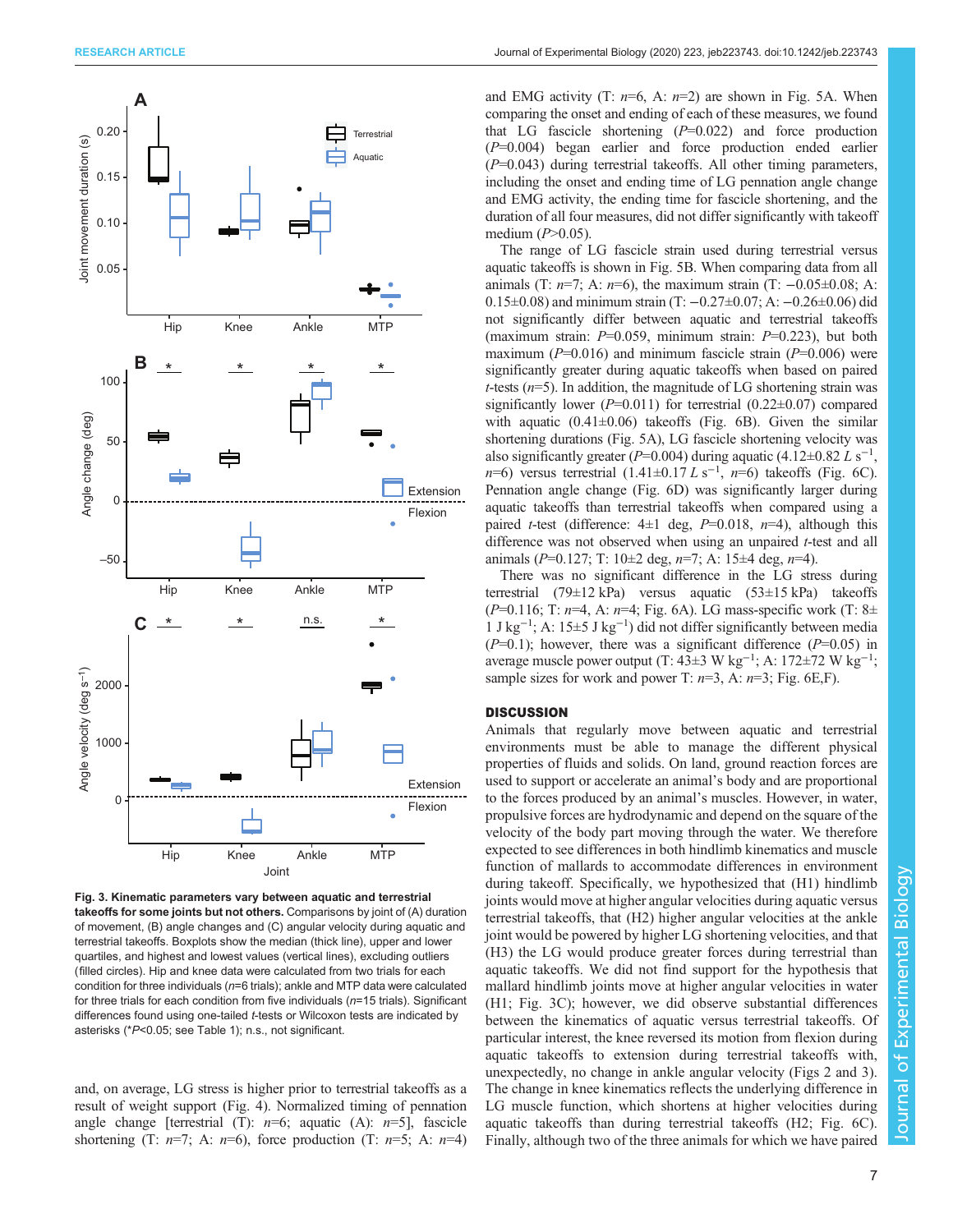<span id="page-6-0"></span>

Fig. 3. Kinematic parameters vary between aquatic and terrestrial takeoffs for some joints but not others. Comparisons by joint of (A) duration of movement, (B) angle changes and (C) angular velocity during aquatic and terrestrial takeoffs. Boxplots show the median (thick line), upper and lower quartiles, and highest and lowest values (vertical lines), excluding outliers (filled circles). Hip and knee data were calculated from two trials for each condition for three individuals ( $n=6$  trials); ankle and MTP data were calculated for three trials for each condition from five individuals ( $n=15$  trials). Significant differences found using one-tailed t-tests or Wilcoxon tests are indicated by asterisks (\*P<0.05; see [Table 1](#page-5-0)); n.s., not significant.

and, on average, LG stress is higher prior to terrestrial takeoffs as a result of weight support [\(Fig. 4](#page-7-0)). Normalized timing of pennation angle change [terrestrial (T):  $n=6$ ; aquatic (A):  $n=5$ ], fascicle shortening (T:  $n=7$ ; A:  $n=6$ ), force production (T:  $n=5$ ; A:  $n=4$ ) and EMG activity (T:  $n=6$ , A:  $n=2$ ) are shown in [Fig. 5](#page-8-0)A. When comparing the onset and ending of each of these measures, we found that LG fascicle shortening  $(P=0.022)$  and force production (P=0.004) began earlier and force production ended earlier  $(P=0.043)$  during terrestrial takeoffs. All other timing parameters, including the onset and ending time of LG pennation angle change and EMG activity, the ending time for fascicle shortening, and the duration of all four measures, did not differ significantly with takeoff medium  $(P>0.05)$ .

The range of LG fascicle strain used during terrestrial versus aquatic takeoffs is shown in [Fig. 5](#page-8-0)B. When comparing data from all animals (T:  $n=7$ ; A:  $n=6$ ), the maximum strain (T:  $-0.05\pm0.08$ ; A: 0.15±0.08) and minimum strain (T: −0.27±0.07; A: −0.26±0.06) did not significantly differ between aquatic and terrestrial takeoffs (maximum strain:  $P=0.059$ , minimum strain:  $P=0.223$ ), but both maximum ( $P=0.016$ ) and minimum fascicle strain ( $P=0.006$ ) were significantly greater during aquatic takeoffs when based on paired t-tests  $(n=5)$ . In addition, the magnitude of LG shortening strain was significantly lower ( $P=0.011$ ) for terrestrial (0.22 $\pm$ 0.07) compared with aquatic  $(0.41\pm0.06)$  takeoffs [\(Fig. 6](#page-9-0)B). Given the similar shortening durations [\(Fig. 5](#page-8-0)A), LG fascicle shortening velocity was also significantly greater ( $P=0.004$ ) during aquatic (4.12±0.82 L s<sup>-1</sup>,  $n=6$ ) versus terrestrial  $(1.41 \pm 0.17 L \text{ s}^{-1}, n=6)$  takeoffs ([Fig. 6](#page-9-0)C). Pennation angle change ([Fig. 6D](#page-9-0)) was significantly larger during aquatic takeoffs than terrestrial takeoffs when compared using a paired *t*-test (difference:  $4\pm 1$  deg,  $P=0.018$ ,  $n=4$ ), although this difference was not observed when using an unpaired *t*-test and all animals ( $P=0.127$ ; T:  $10\pm 2$  deg,  $n=7$ ; A:  $15\pm 4$  deg,  $n=4$ ).

There was no significant difference in the LG stress during terrestrial (79±12 kPa) versus aquatic (53±15 kPa) takeoffs (P=0.116; T:  $n=4$ , A:  $n=4$ ; [Fig. 6](#page-9-0)A). LG mass-specific work (T: 8 $\pm$ 1 J kg−<sup>1</sup> ; A: 15±5 J kg−<sup>1</sup> ) did not differ significantly between media  $(P=0.1)$ ; however, there was a significant difference  $(P=0.05)$  in average muscle power output (T:  $43\pm3$  W kg<sup>-1</sup>; A:  $172\pm72$  W kg<sup>-1</sup>; sample sizes for work and power T:  $n=3$ , A:  $n=3$ ; [Fig. 6](#page-9-0)E,F).

### **DISCUSSION**

Animals that regularly move between aquatic and terrestrial environments must be able to manage the different physical properties of fluids and solids. On land, ground reaction forces are used to support or accelerate an animal's body and are proportional to the forces produced by an animal's muscles. However, in water, propulsive forces are hydrodynamic and depend on the square of the velocity of the body part moving through the water. We therefore expected to see differences in both hindlimb kinematics and muscle function of mallards to accommodate differences in environment during takeoff. Specifically, we hypothesized that (H1) hindlimb joints would move at higher angular velocities during aquatic versus terrestrial takeoffs, that (H2) higher angular velocities at the ankle joint would be powered by higher LG shortening velocities, and that (H3) the LG would produce greater forces during terrestrial than aquatic takeoffs. We did not find support for the hypothesis that mallard hindlimb joints move at higher angular velocities in water (H1; Fig. 3C); however, we did observe substantial differences between the kinematics of aquatic versus terrestrial takeoffs. Of particular interest, the knee reversed its motion from flexion during aquatic takeoffs to extension during terrestrial takeoffs with, unexpectedly, no change in ankle angular velocity [\(Figs 2](#page-5-0) and 3). The change in knee kinematics reflects the underlying difference in LG muscle function, which shortens at higher velocities during aquatic takeoffs than during terrestrial takeoffs (H2; [Fig. 6](#page-9-0)C). Finally, although two of the three animals for which we have paired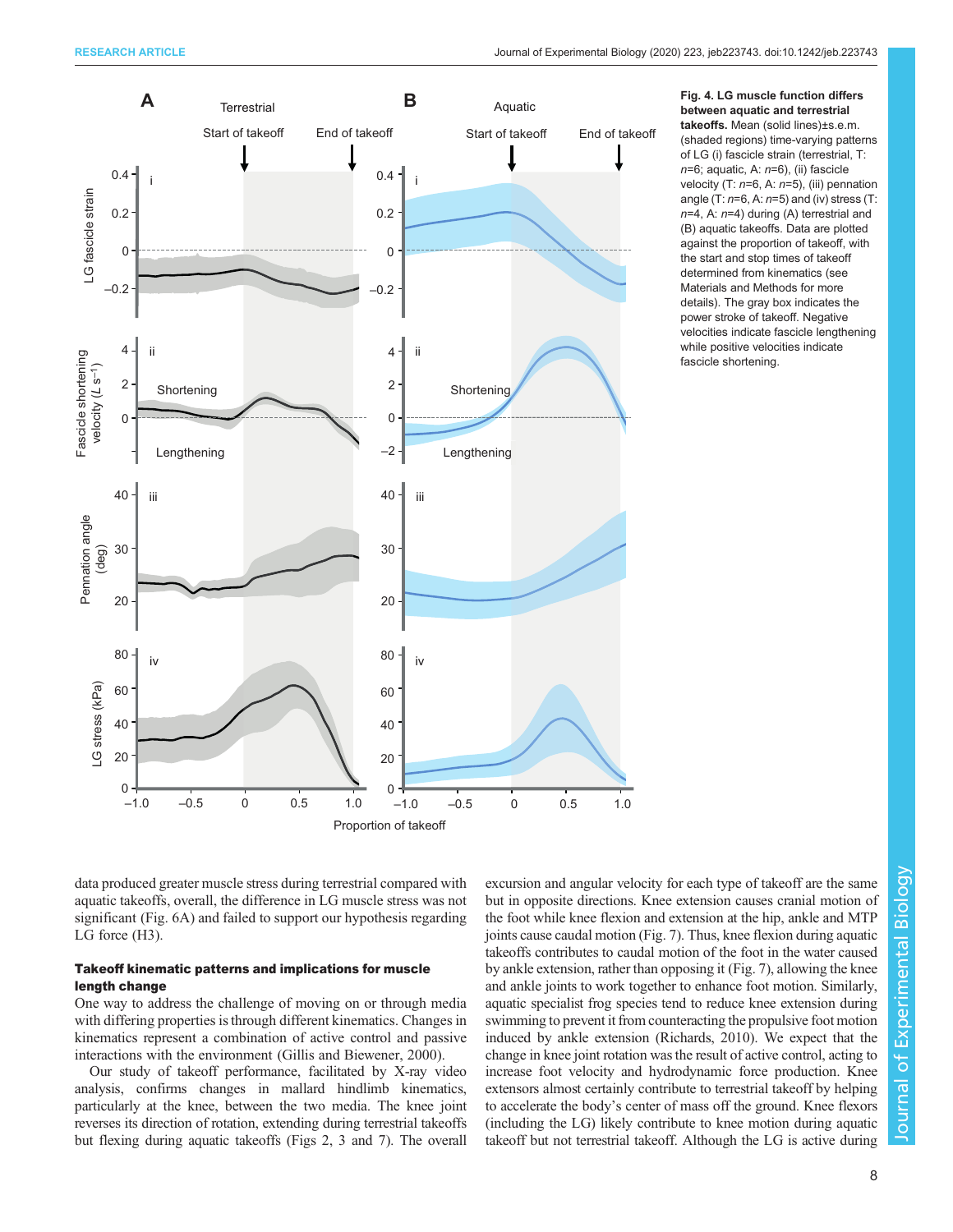<span id="page-7-0"></span>

Fig. 4. LG muscle function differs between aquatic and terrestrial takeoffs. Mean (solid lines)±s.e.m. (shaded regions) time-varying patterns of LG (i) fascicle strain (terrestrial, T:  $n=6$ ; aquatic, A:  $n=6$ ), (ii) fascicle velocity (T:  $n=6$ , A:  $n=5$ ), (iii) pennation angle (T:  $n=6$ , A:  $n=5$ ) and (iv) stress (T:  $n=4$ , A:  $n=4$ ) during (A) terrestrial and (B) aquatic takeoffs. Data are plotted against the proportion of takeoff, with the start and stop times of takeoff determined from kinematics (see Materials and Methods for more details). The gray box indicates the power stroke of takeoff. Negative velocities indicate fascicle lengthening while positive velocities indicate fascicle shortening.

data produced greater muscle stress during terrestrial compared with aquatic takeoffs, overall, the difference in LG muscle stress was not significant [\(Fig. 6](#page-9-0)A) and failed to support our hypothesis regarding LG force (H3).

## Takeoff kinematic patterns and implications for muscle length change

One way to address the challenge of moving on or through media with differing properties is through different kinematics. Changes in kinematics represent a combination of active control and passive interactions with the environment [\(Gillis and Biewener, 2000\)](#page-12-0).

Our study of takeoff performance, facilitated by X-ray video analysis, confirms changes in mallard hindlimb kinematics, particularly at the knee, between the two media. The knee joint reverses its direction of rotation, extending during terrestrial takeoffs but flexing during aquatic takeoffs [\(Figs 2,](#page-5-0) [3](#page-6-0) and [7\)](#page-10-0). The overall

excursion and angular velocity for each type of takeoff are the same but in opposite directions. Knee extension causes cranial motion of the foot while knee flexion and extension at the hip, ankle and MTP joints cause caudal motion ([Fig. 7\)](#page-10-0). Thus, knee flexion during aquatic takeoffs contributes to caudal motion of the foot in the water caused by ankle extension, rather than opposing it [\(Fig. 7](#page-10-0)), allowing the knee and ankle joints to work together to enhance foot motion. Similarly, aquatic specialist frog species tend to reduce knee extension during swimming to prevent it from counteracting the propulsive foot motion induced by ankle extension [\(Richards, 2010\)](#page-12-0). We expect that the change in knee joint rotation was the result of active control, acting to increase foot velocity and hydrodynamic force production. Knee extensors almost certainly contribute to terrestrial takeoff by helping to accelerate the body's center of mass off the ground. Knee flexors (including the LG) likely contribute to knee motion during aquatic takeoff but not terrestrial takeoff. Although the LG is active during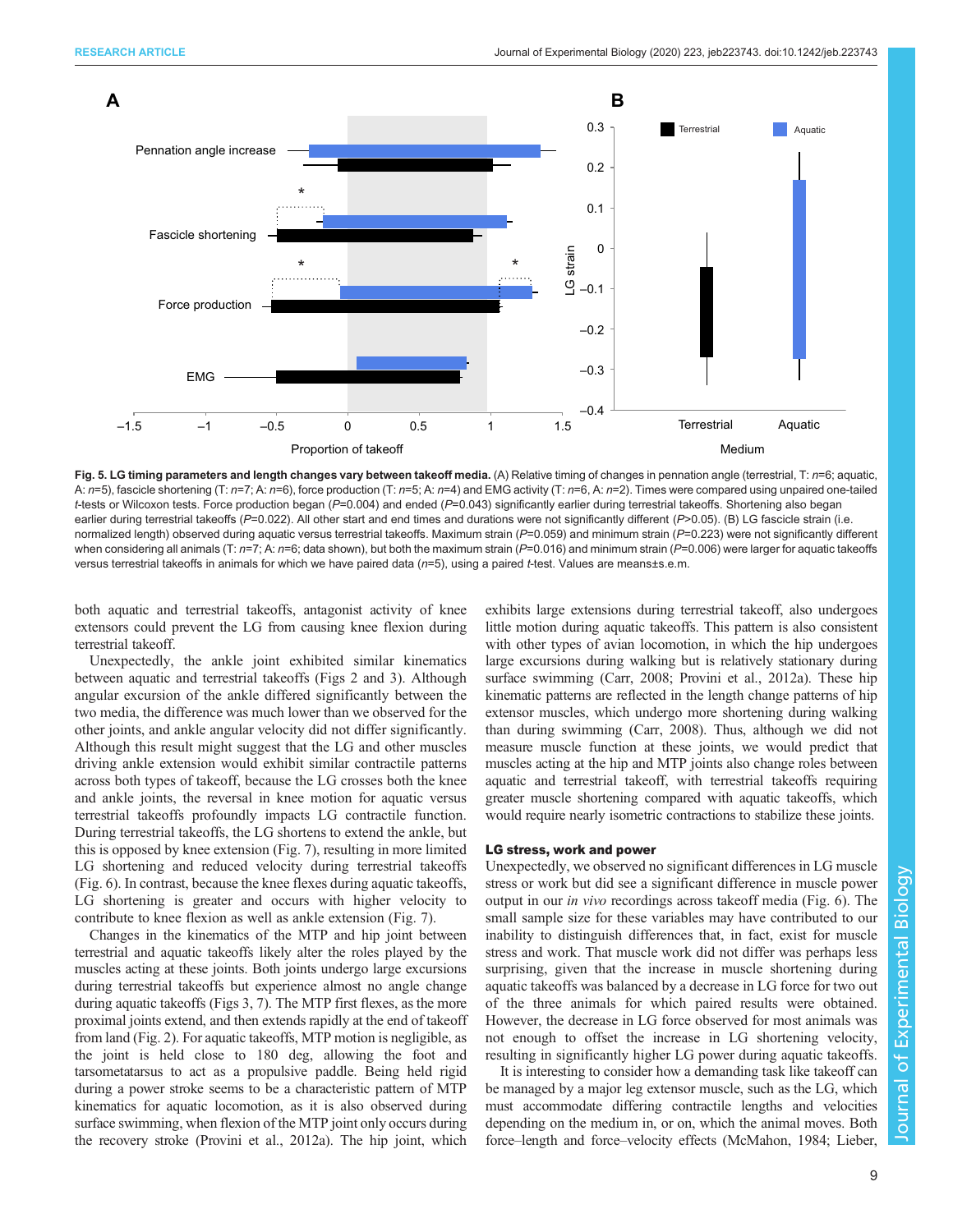<span id="page-8-0"></span>

Fig. 5. LG timing parameters and length changes vary between takeoff media. (A) Relative timing of changes in pennation angle (terrestrial, T: n=6; aquatic, A:  $n=5$ ), fascicle shortening (T:  $n=7$ ; A:  $n=6$ ), force production (T:  $n=5$ ; A:  $n=4$ ) and EMG activity (T:  $n=6$ , A:  $n=2$ ). Times were compared using unpaired one-tailed t-tests or Wilcoxon tests. Force production began (P=0.004) and ended (P=0.043) significantly earlier during terrestrial takeoffs. Shortening also began earlier during terrestrial takeoffs (P=0.022). All other start and end times and durations were not significantly different (P>0.05). (B) LG fascicle strain (i.e. normalized length) observed during aquatic versus terrestrial takeoffs. Maximum strain (P=0.059) and minimum strain (P=0.223) were not significantly different when considering all animals (T:  $n=7$ ; A:  $n=6$ ; data shown), but both the maximum strain (P=0.016) and minimum strain (P=0.006) were larger for aquatic takeoffs versus terrestrial takeoffs in animals for which we have paired data (n=5), using a paired t-test. Values are means±s.e.m.

both aquatic and terrestrial takeoffs, antagonist activity of knee extensors could prevent the LG from causing knee flexion during terrestrial takeoff.

Unexpectedly, the ankle joint exhibited similar kinematics between aquatic and terrestrial takeoffs ([Figs 2](#page-5-0) and [3](#page-6-0)). Although angular excursion of the ankle differed significantly between the two media, the difference was much lower than we observed for the other joints, and ankle angular velocity did not differ significantly. Although this result might suggest that the LG and other muscles driving ankle extension would exhibit similar contractile patterns across both types of takeoff, because the LG crosses both the knee and ankle joints, the reversal in knee motion for aquatic versus terrestrial takeoffs profoundly impacts LG contractile function. During terrestrial takeoffs, the LG shortens to extend the ankle, but this is opposed by knee extension ([Fig. 7](#page-10-0)), resulting in more limited LG shortening and reduced velocity during terrestrial takeoffs [\(Fig. 6\)](#page-9-0). In contrast, because the knee flexes during aquatic takeoffs, LG shortening is greater and occurs with higher velocity to contribute to knee flexion as well as ankle extension ([Fig. 7](#page-10-0)).

Changes in the kinematics of the MTP and hip joint between terrestrial and aquatic takeoffs likely alter the roles played by the muscles acting at these joints. Both joints undergo large excursions during terrestrial takeoffs but experience almost no angle change during aquatic takeoffs [\(Figs 3](#page-6-0), [7\)](#page-10-0). The MTP first flexes, as the more proximal joints extend, and then extends rapidly at the end of takeoff from land ([Fig. 2](#page-5-0)). For aquatic takeoffs, MTP motion is negligible, as the joint is held close to 180 deg, allowing the foot and tarsometatarsus to act as a propulsive paddle. Being held rigid during a power stroke seems to be a characteristic pattern of MTP kinematics for aquatic locomotion, as it is also observed during surface swimming, when flexion of the MTP joint only occurs during the recovery stroke ([Provini et al., 2012a](#page-12-0)). The hip joint, which

exhibits large extensions during terrestrial takeoff, also undergoes little motion during aquatic takeoffs. This pattern is also consistent with other types of avian locomotion, in which the hip undergoes large excursions during walking but is relatively stationary during surface swimming ([Carr, 2008](#page-11-0); [Provini et al., 2012a](#page-12-0)). These hip kinematic patterns are reflected in the length change patterns of hip extensor muscles, which undergo more shortening during walking than during swimming [\(Carr, 2008](#page-11-0)). Thus, although we did not measure muscle function at these joints, we would predict that muscles acting at the hip and MTP joints also change roles between aquatic and terrestrial takeoff, with terrestrial takeoffs requiring greater muscle shortening compared with aquatic takeoffs, which would require nearly isometric contractions to stabilize these joints.

#### LG stress, work and power

Unexpectedly, we observed no significant differences in LG muscle stress or work but did see a significant difference in muscle power output in our in vivo recordings across takeoff media ([Fig. 6](#page-9-0)). The small sample size for these variables may have contributed to our inability to distinguish differences that, in fact, exist for muscle stress and work. That muscle work did not differ was perhaps less surprising, given that the increase in muscle shortening during aquatic takeoffs was balanced by a decrease in LG force for two out of the three animals for which paired results were obtained. However, the decrease in LG force observed for most animals was not enough to offset the increase in LG shortening velocity, resulting in significantly higher LG power during aquatic takeoffs.

It is interesting to consider how a demanding task like takeoff can be managed by a major leg extensor muscle, such as the LG, which must accommodate differing contractile lengths and velocities depending on the medium in, or on, which the animal moves. Both force–length and force–velocity effects [\(McMahon, 1984](#page-12-0); [Lieber,](#page-12-0)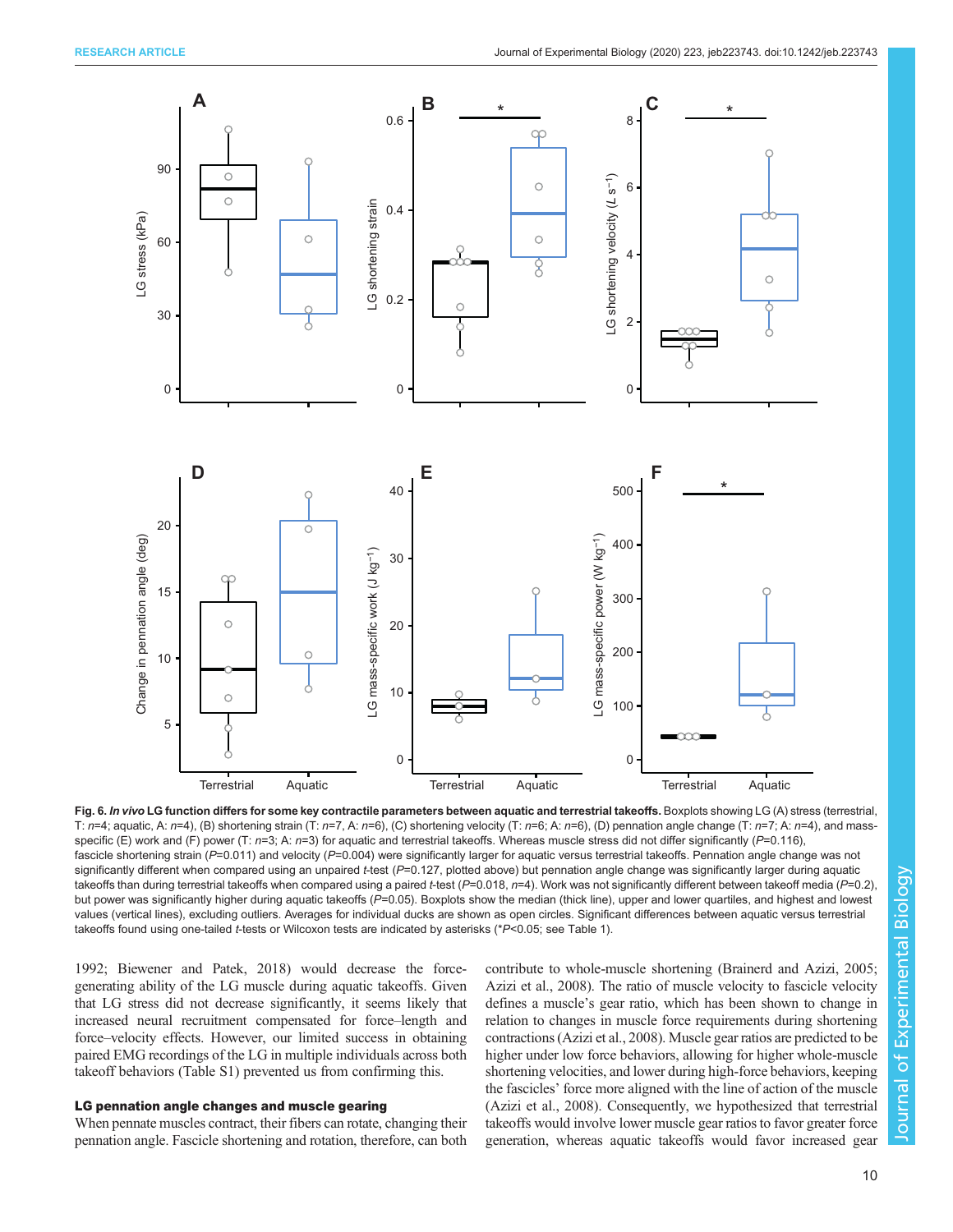<span id="page-9-0"></span>

Fig. 6. In vivo LG function differs for some key contractile parameters between aquatic and terrestrial takeoffs. Boxplots showing LG (A) stress (terrestrial, T:  $n=4$ ; aquatic, A:  $n=4$ ), (B) shortening strain (T:  $n=7$ , A:  $n=6$ ), (C) shortening velocity (T:  $n=6$ ; A:  $n=6$ ), (D) pennation angle change (T:  $n=7$ ; A:  $n=4$ ), and massspecific (E) work and (F) power (T:  $n=3$ ; A:  $n=3$ ) for aquatic and terrestrial takeoffs. Whereas muscle stress did not differ significantly (P=0.116), fascicle shortening strain (P=0.011) and velocity (P=0.004) were significantly larger for aquatic versus terrestrial takeoffs. Pennation angle change was not significantly different when compared using an unpaired t-test  $(P=0.127$ , plotted above) but pennation angle change was significantly larger during aquatic takeoffs than during terrestrial takeoffs when compared using a paired t-test ( $P=0.018$ ,  $n=4$ ). Work was not significantly different between takeoff media ( $P=0.2$ ) but power was significantly higher during aquatic takeoffs (P=0.05). Boxplots show the median (thick line), upper and lower quartiles, and highest and lowest values (vertical lines), excluding outliers. Averages for individual ducks are shown as open circles. Significant differences between aquatic versus terrestrial takeoffs found using one-tailed t-tests or Wilcoxon tests are indicated by asterisks (\*P<0.05; see [Table 1\)](#page-5-0).

[1992;](#page-12-0) [Biewener and Patek, 2018\)](#page-11-0) would decrease the forcegenerating ability of the LG muscle during aquatic takeoffs. Given that LG stress did not decrease significantly, it seems likely that increased neural recruitment compensated for force–length and force–velocity effects. However, our limited success in obtaining paired EMG recordings of the LG in multiple individuals across both takeoff behaviors ([Table S1\)](https://jeb.biologists.org/lookup/doi/10.1242/jeb.223743.supplemental) prevented us from confirming this.

## LG pennation angle changes and muscle gearing

When pennate muscles contract, their fibers can rotate, changing their pennation angle. Fascicle shortening and rotation, therefore, can both contribute to whole-muscle shortening [\(Brainerd and Azizi, 2005](#page-11-0); [Azizi et al., 2008](#page-11-0)). The ratio of muscle velocity to fascicle velocity defines a muscle's gear ratio, which has been shown to change in relation to changes in muscle force requirements during shortening contractions [\(Azizi et al., 2008\)](#page-11-0). Muscle gear ratios are predicted to be higher under low force behaviors, allowing for higher whole-muscle shortening velocities, and lower during high-force behaviors, keeping the fascicles' force more aligned with the line of action of the muscle [\(Azizi et al., 2008](#page-11-0)). Consequently, we hypothesized that terrestrial takeoffs would involve lower muscle gear ratios to favor greater force generation, whereas aquatic takeoffs would favor increased gear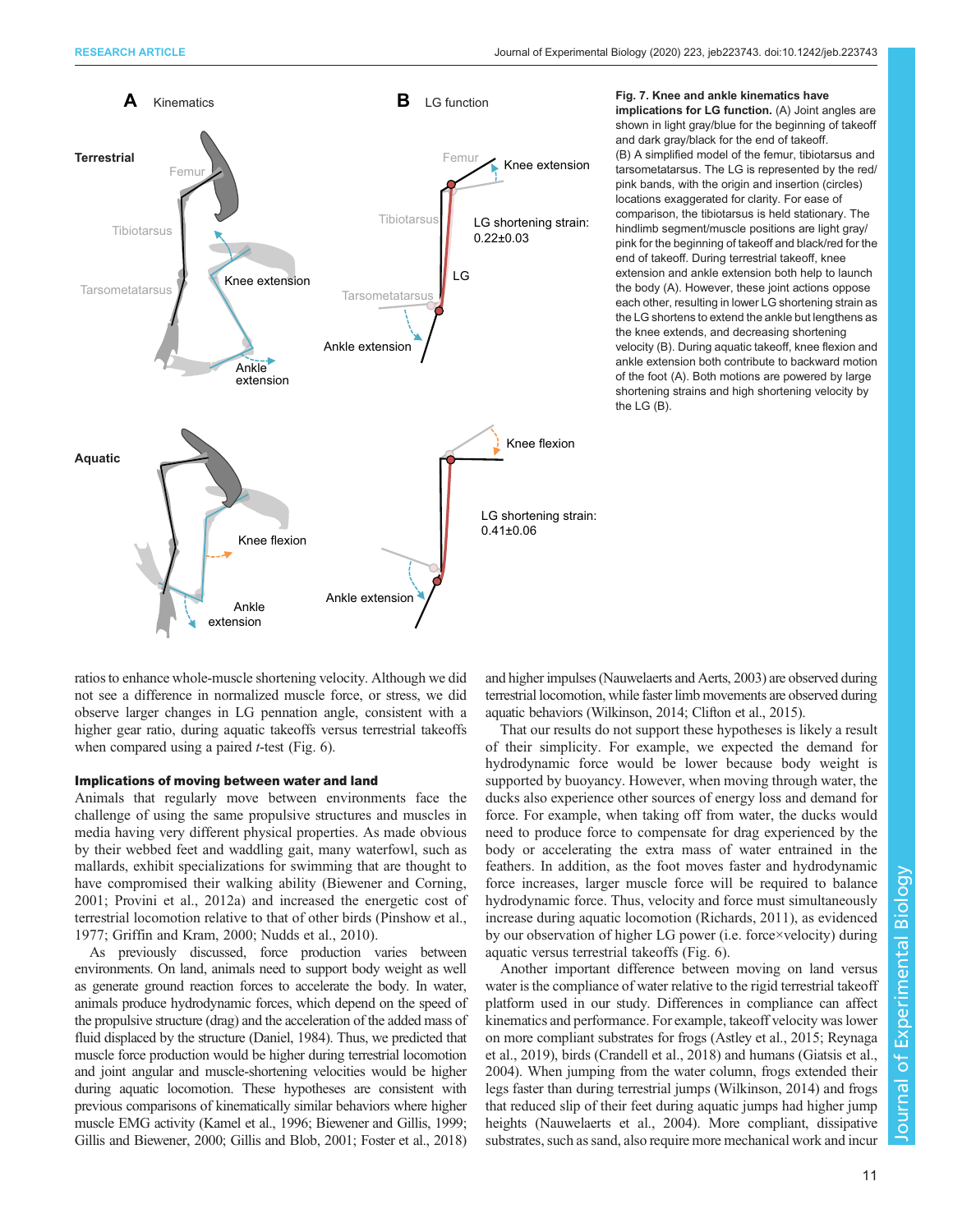<span id="page-10-0"></span>

Fig. 7. Knee and ankle kinematics have implications for LG function. (A) Joint angles are shown in light gray/blue for the beginning of takeoff and dark gray/black for the end of takeoff. (B) A simplified model of the femur, tibiotarsus and tarsometatarsus. The LG is represented by the red/ pink bands, with the origin and insertion (circles) locations exaggerated for clarity. For ease of comparison, the tibiotarsus is held stationary. The hindlimb segment/muscle positions are light gray/ pink for the beginning of takeoff and black/red for the end of takeoff. During terrestrial takeoff, knee extension and ankle extension both help to launch the body (A). However, these joint actions oppose each other, resulting in lower LG shortening strain as the LG shortens to extend the ankle but lengthens as the knee extends, and decreasing shortening velocity (B). During aquatic takeoff, knee flexion and ankle extension both contribute to backward motion of the foot (A). Both motions are powered by large shortening strains and high shortening velocity by the LG (B).

ratios to enhance whole-muscle shortening velocity. Although we did not see a difference in normalized muscle force, or stress, we did observe larger changes in LG pennation angle, consistent with a higher gear ratio, during aquatic takeoffs versus terrestrial takeoffs when compared using a paired  $t$ -test [\(Fig. 6](#page-9-0)).

#### Implications of moving between water and land

Animals that regularly move between environments face the challenge of using the same propulsive structures and muscles in media having very different physical properties. As made obvious by their webbed feet and waddling gait, many waterfowl, such as mallards, exhibit specializations for swimming that are thought to have compromised their walking ability [\(Biewener and Corning,](#page-11-0) [2001](#page-11-0); [Provini et al., 2012a\)](#page-12-0) and increased the energetic cost of terrestrial locomotion relative to that of other birds [\(Pinshow et al.,](#page-12-0) [1977](#page-12-0); [Griffin and Kram, 2000](#page-12-0); [Nudds et al., 2010\)](#page-12-0).

As previously discussed, force production varies between environments. On land, animals need to support body weight as well as generate ground reaction forces to accelerate the body. In water, animals produce hydrodynamic forces, which depend on the speed of the propulsive structure (drag) and the acceleration of the added mass of fluid displaced by the structure [\(Daniel, 1984](#page-12-0)). Thus, we predicted that muscle force production would be higher during terrestrial locomotion and joint angular and muscle-shortening velocities would be higher during aquatic locomotion. These hypotheses are consistent with previous comparisons of kinematically similar behaviors where higher muscle EMG activity [\(Kamel et al., 1996](#page-12-0); [Biewener and Gillis, 1999](#page-11-0); [Gillis and Biewener, 2000;](#page-12-0) Gillis and [Blob, 2001; Foster et al., 2018\)](#page-12-0)

and higher impulses ([Nauwelaerts and Aerts, 2003\)](#page-12-0) are observed during terrestrial locomotion, while faster limb movements are observed during aquatic behaviors [\(Wilkinson, 2014;](#page-12-0) [Clifton et al., 2015\)](#page-11-0).

That our results do not support these hypotheses is likely a result of their simplicity. For example, we expected the demand for hydrodynamic force would be lower because body weight is supported by buoyancy. However, when moving through water, the ducks also experience other sources of energy loss and demand for force. For example, when taking off from water, the ducks would need to produce force to compensate for drag experienced by the body or accelerating the extra mass of water entrained in the feathers. In addition, as the foot moves faster and hydrodynamic force increases, larger muscle force will be required to balance hydrodynamic force. Thus, velocity and force must simultaneously increase during aquatic locomotion [\(Richards, 2011\)](#page-12-0), as evidenced by our observation of higher LG power (i.e. force×velocity) during aquatic versus terrestrial takeoffs ([Fig. 6](#page-9-0)).

Another important difference between moving on land versus water is the compliance of water relative to the rigid terrestrial takeoff platform used in our study. Differences in compliance can affect kinematics and performance. For example, takeoff velocity was lower on more compliant substrates for frogs ([Astley et al., 2015;](#page-11-0) [Reynaga](#page-12-0) [et al., 2019](#page-12-0)), birds [\(Crandell et al., 2018](#page-12-0)) and humans [\(Giatsis et al.,](#page-12-0) [2004\)](#page-12-0). When jumping from the water column, frogs extended their legs faster than during terrestrial jumps [\(Wilkinson, 2014\)](#page-12-0) and frogs that reduced slip of their feet during aquatic jumps had higher jump heights ([Nauwelaerts et al., 2004\)](#page-12-0). More compliant, dissipative substrates, such as sand, also require more mechanical work and incur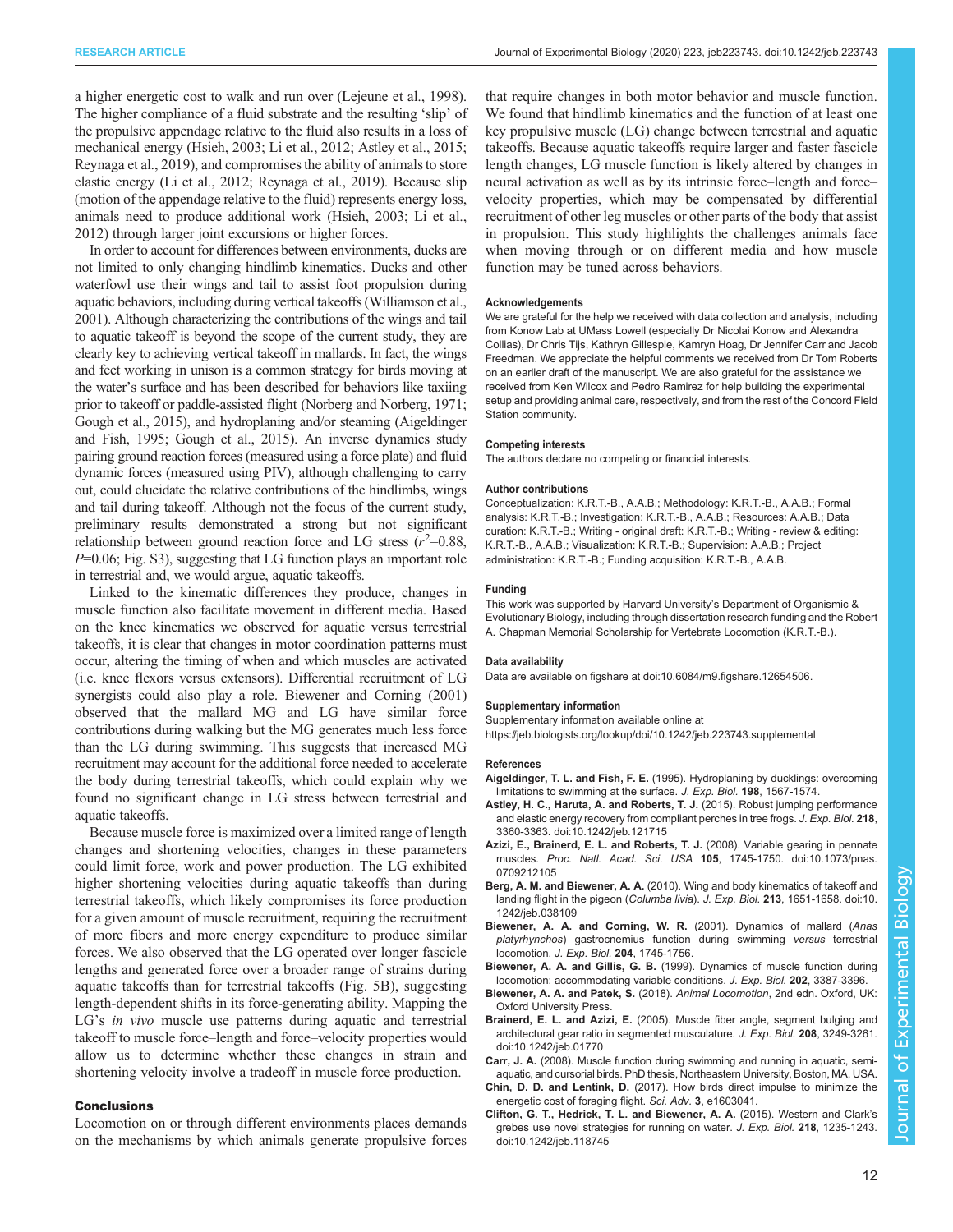<span id="page-11-0"></span>a higher energetic cost to walk and run over ([Lejeune et al., 1998\)](#page-12-0). The higher compliance of a fluid substrate and the resulting 'slip' of the propulsive appendage relative to the fluid also results in a loss of mechanical energy [\(Hsieh, 2003; Li et al., 2012](#page-12-0); Astley et al., 2015; [Reynaga et al., 2019](#page-12-0)), and compromises the ability of animals to store elastic energy ([Li et al., 2012](#page-12-0); [Reynaga et al., 2019](#page-12-0)). Because slip (motion of the appendage relative to the fluid) represents energy loss, animals need to produce additional work [\(Hsieh, 2003; Li et al.,](#page-12-0) [2012\)](#page-12-0) through larger joint excursions or higher forces.

In order to account for differences between environments, ducks are not limited to only changing hindlimb kinematics. Ducks and other waterfowl use their wings and tail to assist foot propulsion during aquatic behaviors, including during vertical takeoffs [\(Williamson et al.,](#page-12-0) [2001](#page-12-0)). Although characterizing the contributions of the wings and tail to aquatic takeoff is beyond the scope of the current study, they are clearly key to achieving vertical takeoff in mallards. In fact, the wings and feet working in unison is a common strategy for birds moving at the water's surface and has been described for behaviors like taxiing prior to takeoff or paddle-assisted flight [\(Norberg and Norberg, 1971](#page-12-0); [Gough et al., 2015](#page-12-0)), and hydroplaning and/or steaming (Aigeldinger and Fish, 1995; [Gough et al., 2015](#page-12-0)). An inverse dynamics study pairing ground reaction forces (measured using a force plate) and fluid dynamic forces (measured using PIV), although challenging to carry out, could elucidate the relative contributions of the hindlimbs, wings and tail during takeoff. Although not the focus of the current study, preliminary results demonstrated a strong but not significant relationship between ground reaction force and LG stress  $(r^2=0.88,$  $P=0.06$ ; [Fig. S3\)](https://jeb.biologists.org/lookup/doi/10.1242/jeb.223743.supplemental), suggesting that LG function plays an important role in terrestrial and, we would argue, aquatic takeoffs.

Linked to the kinematic differences they produce, changes in muscle function also facilitate movement in different media. Based on the knee kinematics we observed for aquatic versus terrestrial takeoffs, it is clear that changes in motor coordination patterns must occur, altering the timing of when and which muscles are activated (i.e. knee flexors versus extensors). Differential recruitment of LG synergists could also play a role. Biewener and Corning (2001) observed that the mallard MG and LG have similar force contributions during walking but the MG generates much less force than the LG during swimming. This suggests that increased MG recruitment may account for the additional force needed to accelerate the body during terrestrial takeoffs, which could explain why we found no significant change in LG stress between terrestrial and aquatic takeoffs.

Because muscle force is maximized over a limited range of length changes and shortening velocities, changes in these parameters could limit force, work and power production. The LG exhibited higher shortening velocities during aquatic takeoffs than during terrestrial takeoffs, which likely compromises its force production for a given amount of muscle recruitment, requiring the recruitment of more fibers and more energy expenditure to produce similar forces. We also observed that the LG operated over longer fascicle lengths and generated force over a broader range of strains during aquatic takeoffs than for terrestrial takeoffs [\(Fig. 5](#page-8-0)B), suggesting length-dependent shifts in its force-generating ability. Mapping the LG's *in vivo* muscle use patterns during aquatic and terrestrial takeoff to muscle force–length and force–velocity properties would allow us to determine whether these changes in strain and shortening velocity involve a tradeoff in muscle force production.

#### Conclusions

Locomotion on or through different environments places demands on the mechanisms by which animals generate propulsive forces

that require changes in both motor behavior and muscle function. We found that hindlimb kinematics and the function of at least one key propulsive muscle (LG) change between terrestrial and aquatic takeoffs. Because aquatic takeoffs require larger and faster fascicle length changes, LG muscle function is likely altered by changes in neural activation as well as by its intrinsic force–length and force– velocity properties, which may be compensated by differential recruitment of other leg muscles or other parts of the body that assist in propulsion. This study highlights the challenges animals face when moving through or on different media and how muscle function may be tuned across behaviors.

#### Acknowledgements

We are grateful for the help we received with data collection and analysis, including from Konow Lab at UMass Lowell (especially Dr Nicolai Konow and Alexandra Collias), Dr Chris Tijs, Kathryn Gillespie, Kamryn Hoag, Dr Jennifer Carr and Jacob Freedman. We appreciate the helpful comments we received from Dr Tom Roberts on an earlier draft of the manuscript. We are also grateful for the assistance we received from Ken Wilcox and Pedro Ramirez for help building the experimental setup and providing animal care, respectively, and from the rest of the Concord Field Station community.

#### Competing interests

The authors declare no competing or financial interests.

#### Author contributions

Conceptualization: K.R.T.-B., A.A.B.; Methodology: K.R.T.-B., A.A.B.; Formal analysis: K.R.T.-B.; Investigation: K.R.T.-B., A.A.B.; Resources: A.A.B.; Data curation: K.R.T.-B.; Writing - original draft: K.R.T.-B.; Writing - review & editing: K.R.T.-B., A.A.B.; Visualization: K.R.T.-B.; Supervision: A.A.B.; Project administration: K.R.T.-B.; Funding acquisition: K.R.T.-B., A.A.B.

#### Funding

This work was supported by Harvard University's Department of Organismic & Evolutionary Biology, including through dissertation research funding and the Robert A. Chapman Memorial Scholarship for Vertebrate Locomotion (K.R.T.-B.).

#### Data availability

Data are available on figshare at [doi:10.6084/m9.figshare.12654506.](https://doi.org/10.6084/m9.figshare.12654506)

#### Supplementary information

Supplementary information available online at <https://jeb.biologists.org/lookup/doi/10.1242/jeb.223743.supplemental>

#### References

- Aigeldinger, T. L. and Fish, F. E. (1995). Hydroplaning by ducklings: overcoming limitations to swimming at the surface. J. Exp. Biol. 198, 1567-1574.
- [Astley, H. C., Haruta, A. and Roberts, T. J.](https://doi.org/10.1242/jeb.121715) (2015). Robust jumping performance [and elastic energy recovery from compliant perches in tree frogs.](https://doi.org/10.1242/jeb.121715) J. Exp. Biol. 218, [3360-3363. doi:10.1242/jeb.121715](https://doi.org/10.1242/jeb.121715)
- [Azizi, E., Brainerd, E. L. and Roberts, T. J.](https://doi.org/10.1073/pnas.0709212105) (2008). Variable gearing in pennate muscles. Proc. Natl. Acad. Sci. USA 105[, 1745-1750. doi:10.1073/pnas.](https://doi.org/10.1073/pnas.0709212105) [0709212105](https://doi.org/10.1073/pnas.0709212105)
- Berg, A. M. and Biewener, A. A. [\(2010\). Wing and body kinematics of takeoff and](https://doi.org/10.1242/jeb.038109) [landing flight in the pigeon \(](https://doi.org/10.1242/jeb.038109)Columba livia). J. Exp. Biol. 213, 1651-1658. doi:10. [1242/jeb.038109](https://doi.org/10.1242/jeb.038109)
- Biewener, A. A. and Corning, W. R. (2001). Dynamics of mallard (Anas platyrhynchos) gastrocnemius function during swimming versus terrestrial locomotion. J. Exp. Biol. 204, 1745-1756.
- Biewener, A. A. and Gillis, G. B. (1999). Dynamics of muscle function during locomotion: accommodating variable conditions. J. Exp. Biol. 202, 3387-3396.
- Biewener, A. A. and Patek, S. (2018). Animal Locomotion, 2nd edn. Oxford, UK: Oxford University Press.
- Brainerd, E. L. and Azizi, E. [\(2005\). Muscle fiber angle, segment bulging and](https://doi.org/10.1242/jeb.01770) [architectural gear ratio in segmented musculature.](https://doi.org/10.1242/jeb.01770) J. Exp. Biol. 208, 3249-3261. [doi:10.1242/jeb.01770](https://doi.org/10.1242/jeb.01770)
- Carr, J. A. (2008). Muscle function during swimming and running in aquatic, semiaquatic, and cursorial birds. PhD thesis, Northeastern University, Boston, MA, USA.
- Chin, D. D. and Lentink, D. (2017). How birds direct impulse to minimize the energetic cost of foraging flight. Sci. Adv. 3, e1603041.
- [Clifton, G. T., Hedrick, T. L. and Biewener, A. A.](https://doi.org/10.1242/jeb.118745) (2015). Western and Clark's [grebes use novel strategies for running on water.](https://doi.org/10.1242/jeb.118745) J. Exp. Biol. 218, 1235-1243. [doi:10.1242/jeb.118745](https://doi.org/10.1242/jeb.118745)